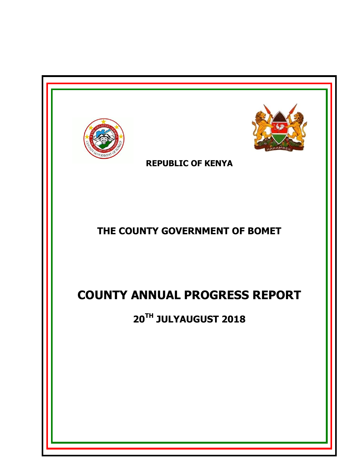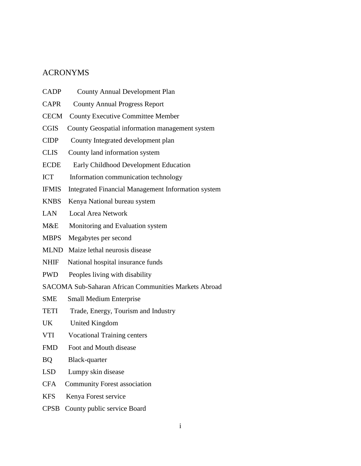## <span id="page-1-0"></span>ACRONYMS

| <b>CADP</b>  | <b>County Annual Development Plan</b>                     |
|--------------|-----------------------------------------------------------|
| <b>CAPR</b>  | <b>County Annual Progress Report</b>                      |
| <b>CECM</b>  | <b>County Executive Committee Member</b>                  |
| <b>CGIS</b>  | County Geospatial information management system           |
| <b>CIDP</b>  | County Integrated development plan                        |
| <b>CLIS</b>  | County land information system                            |
| <b>ECDE</b>  | Early Childhood Development Education                     |
| <b>ICT</b>   | Information communication technology                      |
| <b>IFMIS</b> | <b>Integrated Financial Management Information system</b> |
| <b>KNBS</b>  | Kenya National bureau system                              |
| <b>LAN</b>   | <b>Local Area Network</b>                                 |
| M&E          | Monitoring and Evaluation system                          |
| <b>MBPS</b>  | Megabytes per second                                      |
| <b>MLND</b>  | Maize lethal neurosis disease                             |
| NHIF         | National hospital insurance funds                         |
| <b>PWD</b>   | Peoples living with disability                            |
|              | SACOMA Sub-Saharan African Communities Markets Abroad     |
| <b>SME</b>   | <b>Small Medium Enterprise</b>                            |
| <b>TETI</b>  | Trade, Energy, Tourism and Industry                       |
| <b>UK</b>    | United Kingdom                                            |
| <b>VTI</b>   | <b>Vocational Training centers</b>                        |
| <b>FMD</b>   | Foot and Mouth disease                                    |
| <b>BQ</b>    | Black-quarter                                             |
| <b>LSD</b>   | Lumpy skin disease                                        |
| <b>CFA</b>   | <b>Community Forest association</b>                       |
| <b>KFS</b>   | Kenya Forest service                                      |
| <b>CPSB</b>  | County public service Board                               |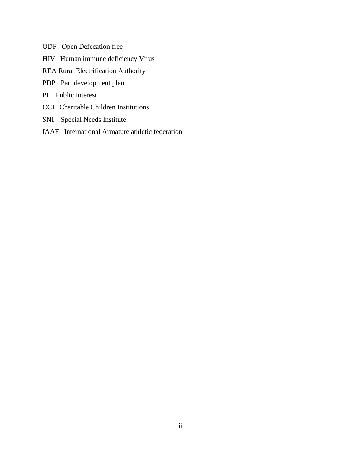- ODF Open Defecation free
- HIV Human immune deficiency Virus
- REA Rural Electrification Authority
- PDP Part development plan
- PI Public Interest
- CCI Charitable Children Institutions
- SNI Special Needs Institute
- IAAF International Armature athletic federation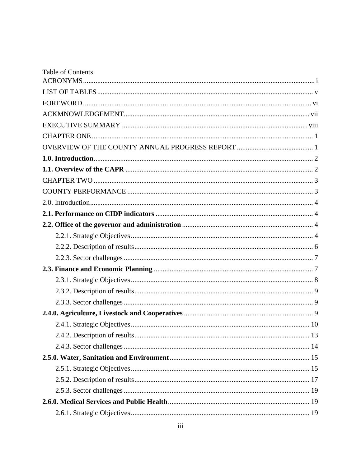| <b>Table of Contents</b> |
|--------------------------|
|                          |
|                          |
|                          |
|                          |
|                          |
|                          |
|                          |
|                          |
|                          |
|                          |
|                          |
|                          |
|                          |
|                          |
|                          |
|                          |
|                          |
|                          |
|                          |
|                          |
|                          |
|                          |
|                          |
|                          |
|                          |
|                          |
|                          |
|                          |
|                          |
|                          |
|                          |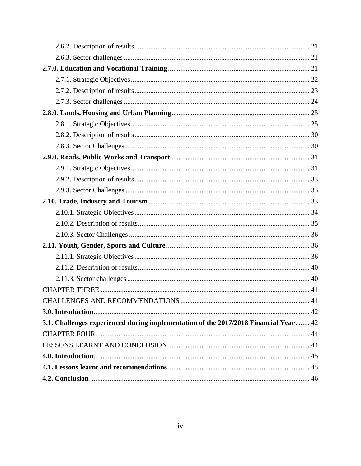| 3.1. Challenges experienced during implementation of the 2017/2018 Financial Year  42 |  |
|---------------------------------------------------------------------------------------|--|
|                                                                                       |  |
|                                                                                       |  |
|                                                                                       |  |
|                                                                                       |  |
|                                                                                       |  |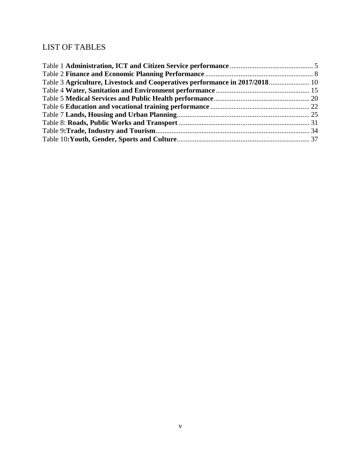## <span id="page-5-0"></span>LIST OF TABLES

| Table 3 Agriculture, Livestock and Cooperatives performance in 2017/2018 10 |  |
|-----------------------------------------------------------------------------|--|
|                                                                             |  |
|                                                                             |  |
|                                                                             |  |
|                                                                             |  |
|                                                                             |  |
|                                                                             |  |
|                                                                             |  |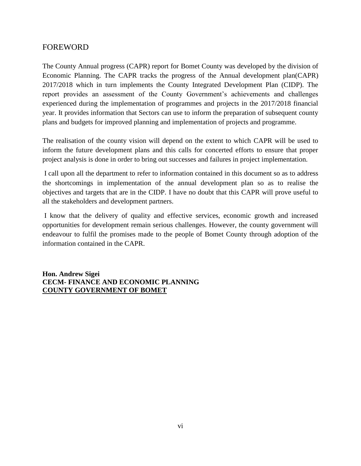## <span id="page-6-0"></span>FOREWORD

The County Annual progress (CAPR) report for Bomet County was developed by the division of Economic Planning. The CAPR tracks the progress of the Annual development plan(CAPR) 2017/2018 which in turn implements the County Integrated Development Plan (CIDP). The report provides an assessment of the County Government's achievements and challenges experienced during the implementation of programmes and projects in the 2017/2018 financial year. It provides information that Sectors can use to inform the preparation of subsequent county plans and budgets for improved planning and implementation of projects and programme.

The realisation of the county vision will depend on the extent to which CAPR will be used to inform the future development plans and this calls for concerted efforts to ensure that proper project analysis is done in order to bring out successes and failures in project implementation.

I call upon all the department to refer to information contained in this document so as to address the shortcomings in implementation of the annual development plan so as to realise the objectives and targets that are in the CIDP. I have no doubt that this CAPR will prove useful to all the stakeholders and development partners.

I know that the delivery of quality and effective services, economic growth and increased opportunities for development remain serious challenges. However, the county government will endeavour to fulfil the promises made to the people of Bomet County through adoption of the information contained in the CAPR.

**Hon. Andrew Sigei CECM- FINANCE AND ECONOMIC PLANNING COUNTY GOVERNMENT OF BOMET**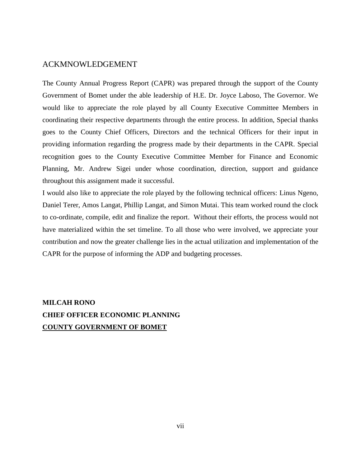## <span id="page-7-0"></span>ACKMNOWLEDGEMENT

The County Annual Progress Report (CAPR) was prepared through the support of the County Government of Bomet under the able leadership of H.E. Dr. Joyce Laboso, The Governor. We would like to appreciate the role played by all County Executive Committee Members in coordinating their respective departments through the entire process. In addition, Special thanks goes to the County Chief Officers, Directors and the technical Officers for their input in providing information regarding the progress made by their departments in the CAPR. Special recognition goes to the County Executive Committee Member for Finance and Economic Planning, Mr. Andrew Sigei under whose coordination, direction, support and guidance throughout this assignment made it successful.

I would also like to appreciate the role played by the following technical officers: Linus Ngeno, Daniel Terer, Amos Langat, Phillip Langat, and Simon Mutai. This team worked round the clock to co-ordinate, compile, edit and finalize the report. Without their efforts, the process would not have materialized within the set timeline. To all those who were involved, we appreciate your contribution and now the greater challenge lies in the actual utilization and implementation of the CAPR for the purpose of informing the ADP and budgeting processes.

## **MILCAH RONO CHIEF OFFICER ECONOMIC PLANNING COUNTY GOVERNMENT OF BOMET**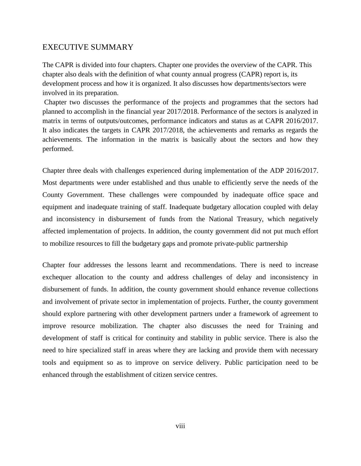#### <span id="page-8-0"></span>EXECUTIVE SUMMARY

The CAPR is divided into four chapters. Chapter one provides the overview of the CAPR. This chapter also deals with the definition of what county annual progress (CAPR) report is, its development process and how it is organized. It also discusses how departments/sectors were involved in its preparation.

Chapter two discusses the performance of the projects and programmes that the sectors had planned to accomplish in the financial year 2017/2018. Performance of the sectors is analyzed in matrix in terms of outputs/outcomes, performance indicators and status as at CAPR 2016/2017. It also indicates the targets in CAPR 2017/2018, the achievements and remarks as regards the achievements. The information in the matrix is basically about the sectors and how they performed.

Chapter three deals with challenges experienced during implementation of the ADP 2016/2017. Most departments were under established and thus unable to efficiently serve the needs of the County Government. These challenges were compounded by inadequate office space and equipment and inadequate training of staff. Inadequate budgetary allocation coupled with delay and inconsistency in disbursement of funds from the National Treasury, which negatively affected implementation of projects. In addition, the county government did not put much effort to mobilize resources to fill the budgetary gaps and promote private-public partnership

Chapter four addresses the lessons learnt and recommendations. There is need to increase exchequer allocation to the county and address challenges of delay and inconsistency in disbursement of funds. In addition, the county government should enhance revenue collections and involvement of private sector in implementation of projects. Further, the county government should explore partnering with other development partners under a framework of agreement to improve resource mobilization. The chapter also discusses the need for Training and development of staff is critical for continuity and stability in public service. There is also the need to hire specialized staff in areas where they are lacking and provide them with necessary tools and equipment so as to improve on service delivery. Public participation need to be enhanced through the establishment of citizen service centres.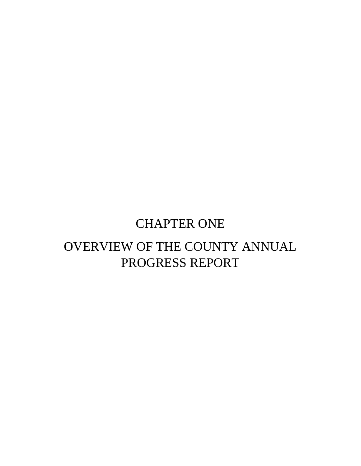# CHAPTER ONE

# <span id="page-9-1"></span><span id="page-9-0"></span>OVERVIEW OF THE COUNTY ANNUAL PROGRESS REPORT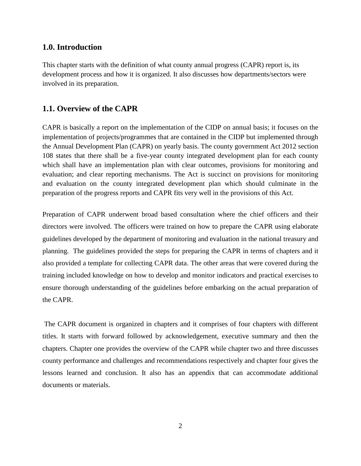#### <span id="page-10-0"></span>**1.0. Introduction**

This chapter starts with the definition of what county annual progress (CAPR) report is, its development process and how it is organized. It also discusses how departments/sectors were involved in its preparation.

## <span id="page-10-1"></span>**1.1. Overview of the CAPR**

CAPR is basically a report on the implementation of the CIDP on annual basis; it focuses on the implementation of projects/programmes that are contained in the CIDP but implemented through the Annual Development Plan (CAPR) on yearly basis. The county government Act 2012 section 108 states that there shall be a five-year county integrated development plan for each county which shall have an implementation plan with clear outcomes, provisions for monitoring and evaluation; and clear reporting mechanisms. The Act is succinct on provisions for monitoring and evaluation on the county integrated development plan which should culminate in the preparation of the progress reports and CAPR fits very well in the provisions of this Act.

Preparation of CAPR underwent broad based consultation where the chief officers and their directors were involved. The officers were trained on how to prepare the CAPR using elaborate guidelines developed by the department of monitoring and evaluation in the national treasury and planning. The guidelines provided the steps for preparing the CAPR in terms of chapters and it also provided a template for collecting CAPR data. The other areas that were covered during the training included knowledge on how to develop and monitor indicators and practical exercises to ensure thorough understanding of the guidelines before embarking on the actual preparation of the CAPR.

The CAPR document is organized in chapters and it comprises of four chapters with different titles. It starts with forward followed by acknowledgement, executive summary and then the chapters. Chapter one provides the overview of the CAPR while chapter two and three discusses county performance and challenges and recommendations respectively and chapter four gives the lessons learned and conclusion. It also has an appendix that can accommodate additional documents or materials.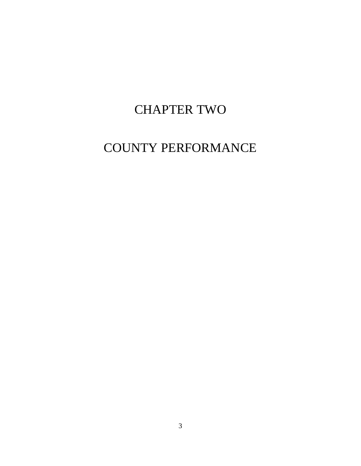# CHAPTER TWO

# <span id="page-11-1"></span><span id="page-11-0"></span>COUNTY PERFORMANCE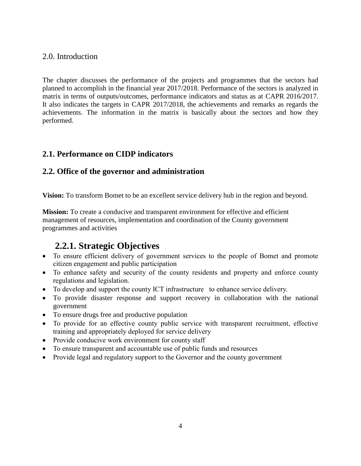## <span id="page-12-0"></span>2.0. Introduction

The chapter discusses the performance of the projects and programmes that the sectors had planned to accomplish in the financial year 2017/2018. Performance of the sectors is analyzed in matrix in terms of outputs/outcomes, performance indicators and status as at CAPR 2016/2017. It also indicates the targets in CAPR 2017/2018, the achievements and remarks as regards the achievements. The information in the matrix is basically about the sectors and how they performed.

## <span id="page-12-1"></span>**2.1. Performance on CIDP indicators**

## <span id="page-12-2"></span>**2.2. Office of the governor and administration**

**Vision:** To transform Bomet to be an excellent service delivery hub in the region and beyond.

**Mission:** To create a conducive and transparent environment for effective and efficient management of resources, implementation and coordination of the County government programmes and activities

## **2.2.1. Strategic Objectives**

- <span id="page-12-3"></span> To ensure efficient delivery of government services to the people of Bomet and promote citizen engagement and public participation
- To enhance safety and security of the county residents and property and enforce county regulations and legislation.
- To develop and support the county ICT infrastructure to enhance service delivery.
- To provide disaster response and support recovery in collaboration with the national government
- To ensure drugs free and productive population
- To provide for an effective county public service with transparent recruitment, effective training and appropriately deployed for service delivery
- Provide conducive work environment for county staff
- To ensure transparent and accountable use of public funds and resources
- Provide legal and regulatory support to the Governor and the county government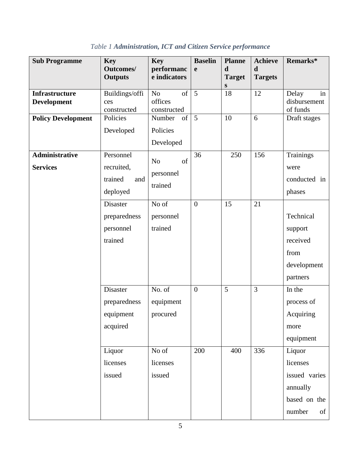<span id="page-13-0"></span>

| <b>Sub Programme</b>                     | <b>Key</b>                                            | <b>Key</b>                                     | <b>Baselin</b> | <b>Planne</b>                | <b>Achieve</b>                | Remarks*                                           |
|------------------------------------------|-------------------------------------------------------|------------------------------------------------|----------------|------------------------------|-------------------------------|----------------------------------------------------|
|                                          | <b>Outcomes/</b><br><b>Outputs</b>                    | performanc<br>e indicators                     | $\mathbf e$    | $\mathbf d$<br><b>Target</b> | $\mathbf d$<br><b>Targets</b> |                                                    |
|                                          |                                                       |                                                |                | ${\bf S}$                    |                               |                                                    |
| <b>Infrastructure</b><br>Development     | Buildings/offi<br>ces<br>constructed                  | of<br>N <sub>o</sub><br>offices<br>constructed | 5              | 18                           | 12                            | Delay<br>in<br>disbursement<br>of funds            |
| <b>Policy Development</b>                | Policies                                              | of<br>Number                                   | 5              | 10                           | 6                             | Draft stages                                       |
|                                          | Developed                                             | Policies                                       |                |                              |                               |                                                    |
|                                          |                                                       | Developed                                      |                |                              |                               |                                                    |
| <b>Administrative</b><br><b>Services</b> | Personnel<br>recruited,<br>trained<br>and<br>deployed | of<br>N <sub>o</sub><br>personnel<br>trained   | 36             | 250                          | 156                           | <b>Trainings</b><br>were<br>conducted in<br>phases |
|                                          | Disaster                                              | No of                                          | $\overline{0}$ | 15                           | 21                            |                                                    |
|                                          | preparedness                                          | personnel                                      |                |                              |                               | Technical                                          |
|                                          | personnel                                             | trained                                        |                |                              |                               | support                                            |
|                                          | trained                                               |                                                |                |                              |                               | received                                           |
|                                          |                                                       |                                                |                |                              |                               | from                                               |
|                                          |                                                       |                                                |                |                              |                               | development                                        |
|                                          |                                                       |                                                |                |                              |                               | partners                                           |
|                                          | Disaster                                              | No. of                                         | $\overline{0}$ | 5                            | 3                             | In the                                             |
|                                          | preparedness                                          | equipment                                      |                |                              |                               | process of                                         |
|                                          | equipment                                             | procured                                       |                |                              |                               | Acquiring                                          |
|                                          | acquired                                              |                                                |                |                              |                               | more                                               |
|                                          |                                                       |                                                |                |                              |                               | equipment                                          |
|                                          | Liquor                                                | No of                                          | 200            | 400                          | 336                           | Liquor                                             |
|                                          | licenses                                              | licenses                                       |                |                              |                               | licenses                                           |
|                                          | issued                                                | issued                                         |                |                              |                               | issued varies                                      |
|                                          |                                                       |                                                |                |                              |                               | annually                                           |
|                                          |                                                       |                                                |                |                              |                               | based on the                                       |
|                                          |                                                       |                                                |                |                              |                               | number<br>of                                       |

*Table 1 Administration, ICT and Citizen Service performance*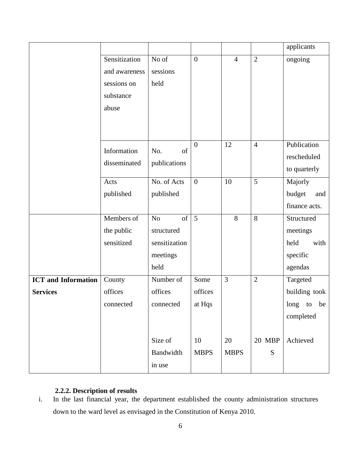|                            |               |                      |                |                |                | applicants    |
|----------------------------|---------------|----------------------|----------------|----------------|----------------|---------------|
|                            | Sensitization | No of                | $\overline{0}$ | $\overline{4}$ | $\overline{2}$ | ongoing       |
|                            | and awareness | sessions             |                |                |                |               |
|                            | sessions on   | held                 |                |                |                |               |
|                            | substance     |                      |                |                |                |               |
|                            | abuse         |                      |                |                |                |               |
|                            |               |                      |                |                |                |               |
|                            |               |                      |                |                |                |               |
|                            |               |                      | $\overline{0}$ | 12             | $\overline{4}$ | Publication   |
|                            | Information   | of<br>No.            |                |                |                | rescheduled   |
|                            | disseminated  | publications         |                |                |                | to quarterly  |
|                            | Acts          | No. of Acts          | $\overline{0}$ | 10             | 5              | Majorly       |
|                            | published     | published            |                |                |                | budget<br>and |
|                            |               |                      |                |                |                | finance acts. |
|                            | Members of    | of<br>N <sub>o</sub> | 5              | 8              | 8              | Structured    |
|                            | the public    | structured           |                |                |                | meetings      |
|                            | sensitized    | sensitization        |                |                |                | held<br>with  |
|                            |               | meetings             |                |                |                | specific      |
|                            |               | held                 |                |                |                | agendas       |
| <b>ICT</b> and Information | County        | Number of            | Some           | $\overline{3}$ | $\overline{2}$ | Targeted      |
| <b>Services</b>            | offices       | offices              | offices        |                |                | building took |
|                            | connected     | connected            | at Hqs         |                |                | long to be    |
|                            |               |                      |                |                |                | completed     |
|                            |               |                      |                |                |                |               |
|                            |               | Size of              | 10             | 20             | 20 MBP         | Achieved      |
|                            |               | Bandwidth            | <b>MBPS</b>    | <b>MBPS</b>    | ${\bf S}$      |               |
|                            |               | in use               |                |                |                |               |

## **2.2.2. Description of results**

<span id="page-14-0"></span>i. In the last financial year, the department established the county administration structures down to the ward level as envisaged in the Constitution of Kenya 2010.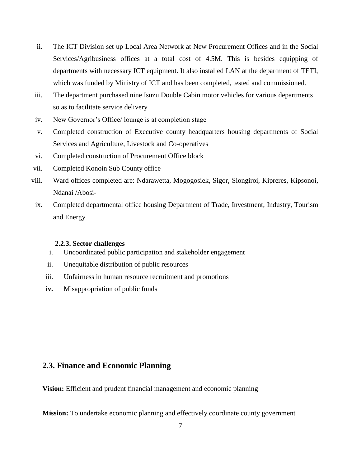- ii. The ICT Division set up Local Area Network at New Procurement Offices and in the Social Services/Agribusiness offices at a total cost of 4.5M. This is besides equipping of departments with necessary ICT equipment. It also installed LAN at the department of TETI, which was funded by Ministry of ICT and has been completed, tested and commissioned.
- iii. The department purchased nine Isuzu Double Cabin motor vehicles for various departments so as to facilitate service delivery
- iv. New Governor's Office/ lounge is at completion stage
- v. Completed construction of Executive county headquarters housing departments of Social Services and Agriculture, Livestock and Co-operatives
- vi. Completed construction of Procurement Office block
- vii. Completed Konoin Sub County office
- viii. Ward offices completed are: Ndarawetta, Mogogosiek, Sigor, Siongiroi, Kipreres, Kipsonoi, Ndanai /Abosi-
- ix. Completed departmental office housing Department of Trade, Investment, Industry, Tourism and Energy

#### **2.2.3. Sector challenges**

- <span id="page-15-0"></span>i. Uncoordinated public participation and stakeholder engagement
- ii. Unequitable distribution of public resources
- iii. Unfairness in human resource recruitment and promotions
- **iv.** Misappropriation of public funds

## <span id="page-15-1"></span>**2.3. Finance and Economic Planning**

**Vision:** Efficient and prudent financial management and economic planning

**Mission:** To undertake economic planning and effectively coordinate county government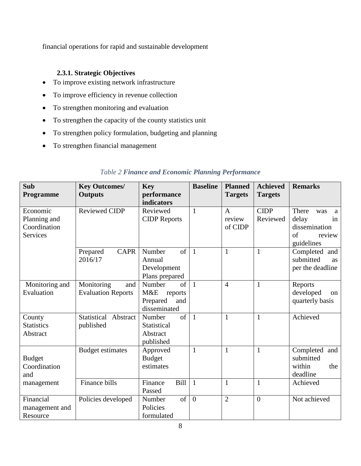financial operations for rapid and sustainable development

## <span id="page-16-0"></span>**2.3.1. Strategic Objectives**

- To improve existing network infrastructure
- To improve efficiency in revenue collection
- To strengthen monitoring and evaluation
- To strengthen the capacity of the county statistics unit
- To strengthen policy formulation, budgeting and planning
- To strengthen financial management

<span id="page-16-1"></span>

| Sub<br><b>Programme</b>                                     | <b>Key Outcomes/</b><br><b>Outputs</b>         | <b>Key</b><br>performance<br>indicators                           | <b>Baseline</b> | <b>Planned</b><br><b>Targets</b> | <b>Achieved</b><br><b>Targets</b> | <b>Remarks</b>                                                                  |
|-------------------------------------------------------------|------------------------------------------------|-------------------------------------------------------------------|-----------------|----------------------------------|-----------------------------------|---------------------------------------------------------------------------------|
| Economic<br>Planning and<br>Coordination<br><b>Services</b> | <b>Reviewed CIDP</b>                           | Reviewed<br><b>CIDP</b> Reports                                   | $\mathbf{1}$    | A<br>review<br>of CIDP           | <b>CIDP</b><br>Reviewed           | There<br>was<br>a<br>delay<br>in<br>dissemination<br>of<br>review<br>guidelines |
|                                                             | <b>CAPR</b><br>Prepared<br>2016/17             | Number<br>of<br>Annual<br>Development<br>Plans prepared           | $\overline{1}$  | 1                                | $\mathbf{1}$                      | Completed and<br>submitted<br><b>as</b><br>per the deadline                     |
| Monitoring and<br>Evaluation                                | Monitoring<br>and<br><b>Evaluation Reports</b> | Number<br>of<br>M&E<br>reports<br>Prepared<br>and<br>disseminated | $\overline{1}$  | $\overline{4}$                   | $\mathbf{1}$                      | Reports<br>developed<br>on<br>quarterly basis                                   |
| County<br><b>Statistics</b><br>Abstract                     | Statistical Abstract<br>published              | $\sigma$ f<br>Number<br>Statistical<br>Abstract<br>published      | $\overline{1}$  | 1                                | $\mathbf{1}$                      | Achieved                                                                        |
| <b>Budget</b><br>Coordination<br>and                        | <b>Budget estimates</b>                        | Approved<br><b>Budget</b><br>estimates                            | $\mathbf{1}$    | $\mathbf{1}$                     | $\mathbf{1}$                      | Completed and<br>submitted<br>within<br>the<br>deadline                         |
| management                                                  | Finance bills                                  | Finance<br>Bill<br>Passed                                         | $\overline{1}$  | $\mathbf{1}$                     | $\mathbf{1}$                      | Achieved                                                                        |
| Financial<br>management and<br>Resource                     | Policies developed                             | of<br>Number<br>Policies<br>formulated                            | $\overline{0}$  | $\overline{2}$                   | $\overline{0}$                    | Not achieved                                                                    |

## *Table 2 Finance and Economic Planning Performance*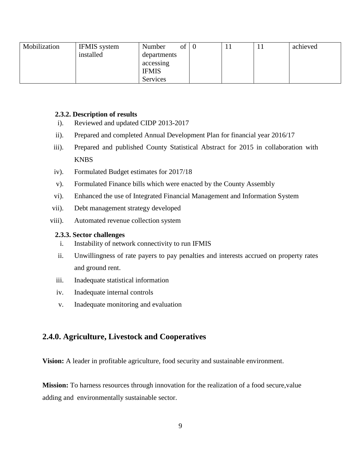| Mobilization | <b>IFMIS</b> system | of<br>Number | 0 | . . | achieved |
|--------------|---------------------|--------------|---|-----|----------|
|              | installed           | departments  |   |     |          |
|              |                     | accessing    |   |     |          |
|              |                     | <b>IFMIS</b> |   |     |          |
|              |                     | Services     |   |     |          |

#### <span id="page-17-0"></span>**2.3.2. Description of results**

- i). Reviewed and updated CIDP 2013-2017
- ii). Prepared and completed Annual Development Plan for financial year 2016/17
- iii). Prepared and published County Statistical Abstract for 2015 in collaboration with **KNBS**
- iv). Formulated Budget estimates for 2017/18
- v). Formulated Finance bills which were enacted by the County Assembly
- vi). Enhanced the use of Integrated Financial Management and Information System
- vii). Debt management strategy developed
- viii). Automated revenue collection system

#### <span id="page-17-1"></span>**2.3.3. Sector challenges**

- i. Instability of network connectivity to run IFMIS
- ii. Unwillingness of rate payers to pay penalties and interests accrued on property rates and ground rent.
- iii. Inadequate statistical information
- iv. Inadequate internal controls
- v. Inadequate monitoring and evaluation

## <span id="page-17-2"></span>**2.4.0. Agriculture, Livestock and Cooperatives**

**Vision:** A leader in profitable agriculture, food security and sustainable environment.

**Mission:** To harness resources through innovation for the realization of a food secure, value adding and environmentally sustainable sector.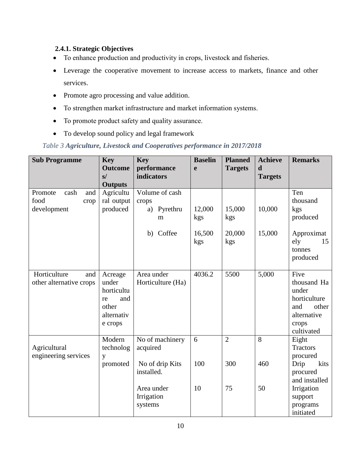## <span id="page-18-0"></span>**2.4.1. Strategic Objectives**

- To enhance production and productivity in crops, livestock and fisheries.
- Leverage the cooperative movement to increase access to markets, finance and other services.
- Promote agro processing and value addition.
- To strengthen market infrastructure and market information systems.
- To promote product safety and quality assurance.
- To develop sound policy and legal framework

## <span id="page-18-1"></span>*Table 3 Agriculture, Livestock and Cooperatives performance in 2017/2018*

| <b>Sub Programme</b>                                  | <b>Key</b><br><b>Outcome</b><br>s/<br><b>Outputs</b>                          | <b>Key</b><br>performance<br>indicators                      | <b>Baselin</b><br>$\mathbf e$  | <b>Planned</b><br><b>Targets</b> | <b>Achieve</b><br>$\mathbf d$<br><b>Targets</b> | <b>Remarks</b>                                                                                     |
|-------------------------------------------------------|-------------------------------------------------------------------------------|--------------------------------------------------------------|--------------------------------|----------------------------------|-------------------------------------------------|----------------------------------------------------------------------------------------------------|
| Promote<br>cash<br>and<br>food<br>crop<br>development | Agricultu<br>ral output<br>produced                                           | Volume of cash<br>crops<br>Pyrethru<br>a)<br>m<br>b) Coffee  | 12,000<br>kgs<br>16,500<br>kgs | 15,000<br>kgs<br>20,000<br>kgs   | 10,000<br>15,000                                | Ten<br>thousand<br>kgs<br>produced<br>Approximat<br>ely<br>15<br>tonnes<br>produced                |
| Horticulture<br>and<br>other alternative crops        | Acreage<br>under<br>horticultu<br>and<br>re<br>other<br>alternativ<br>e crops | Area under<br>Horticulture (Ha)                              | 4036.2                         | 5500                             | 5,000                                           | Five<br>thousand Ha<br>under<br>horticulture<br>and<br>other<br>alternative<br>crops<br>cultivated |
| Agricultural<br>engineering services                  | Modern<br>technolog<br>y<br>promoted                                          | No of machinery<br>acquired<br>No of drip Kits<br>installed. | 6<br>100                       | $\overline{2}$<br>300            | $\overline{8}$<br>460                           | Eight<br><b>Tractors</b><br>procured<br>Drip<br>kits<br>procured<br>and installed                  |
|                                                       |                                                                               | Area under<br>Irrigation<br>systems                          | 10                             | 75                               | 50                                              | Irrigation<br>support<br>programs<br>initiated                                                     |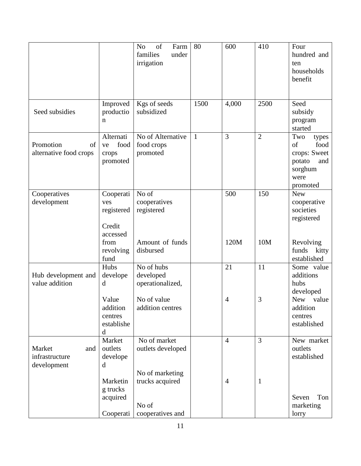|                                                |                                                      | N <sub>o</sub><br>of<br>Farm<br>families<br>under<br>irrigation | 80           | 600            | 410            | Four<br>hundred and<br>ten<br>households<br>benefit                                        |
|------------------------------------------------|------------------------------------------------------|-----------------------------------------------------------------|--------------|----------------|----------------|--------------------------------------------------------------------------------------------|
| Seed subsidies                                 | Improved<br>productio<br>$\mathbf n$                 | Kgs of seeds<br>subsidized                                      | 1500         | 4,000          | 2500           | Seed<br>subsidy<br>program<br>started                                                      |
| Promotion<br>of<br>alternative food crops      | Alternati<br>food<br>ve<br>crops<br>promoted         | No of Alternative<br>food crops<br>promoted                     | $\mathbf{1}$ | $\overline{3}$ | $\overline{2}$ | Two<br>types<br>of<br>food<br>crops: Sweet<br>potato<br>and<br>sorghum<br>were<br>promoted |
| Cooperatives<br>development                    | Cooperati<br>ves<br>registered<br>Credit<br>accessed | No of<br>cooperatives<br>registered                             |              | 500            | 150            | <b>New</b><br>cooperative<br>societies<br>registered                                       |
|                                                | from<br>revolving<br>fund                            | Amount of funds<br>disbursed                                    |              | 120M           | 10M            | Revolving<br>funds<br>kitty<br>established                                                 |
| Hub development and<br>value addition          | Hubs<br>develope<br>d                                | No of hubs<br>developed<br>operationalized,                     |              | 21             | 11             | Some value<br>additions<br>hubs<br>developed                                               |
|                                                | Value<br>addition<br>centres<br>establishe<br>d      | No of value<br>addition centres                                 |              | $\overline{4}$ | 3              | New value<br>addition<br>centres<br>established                                            |
| Market<br>and<br>infrastructure<br>development | Market<br>outlets<br>develope<br>d                   | No of market<br>outlets developed                               |              | $\overline{4}$ | 3              | New market<br>outlets<br>established                                                       |
|                                                | Marketin<br>g trucks<br>acquired<br>Cooperati        | No of marketing<br>trucks acquired<br>No of<br>cooperatives and |              | $\overline{4}$ | 1              | Seven<br>Ton<br>marketing<br>lorry                                                         |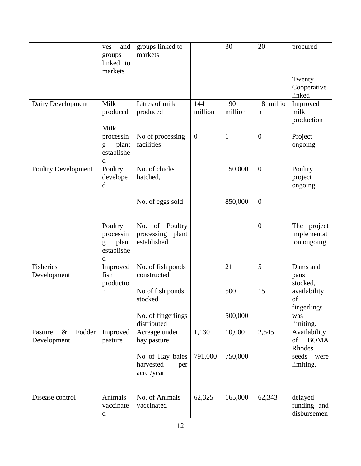|                                          | and<br>ves<br>groups                                          | groups linked to<br>markets                       |                | 30             | 20                       | procured                                    |
|------------------------------------------|---------------------------------------------------------------|---------------------------------------------------|----------------|----------------|--------------------------|---------------------------------------------|
|                                          | linked to<br>markets                                          |                                                   |                |                |                          |                                             |
|                                          |                                                               |                                                   |                |                |                          | Twenty<br>Cooperative<br>linked             |
| Dairy Development                        | Milk<br>produced                                              | Litres of milk<br>produced                        | 144<br>million | 190<br>million | 181millio<br>$\mathbf n$ | Improved<br>milk<br>production              |
|                                          | Milk<br>processin<br>plant<br>$\mathbf{g}$<br>establishe<br>d | No of processing<br>facilities                    | $\mathbf{0}$   | 1              | $\overline{0}$           | Project<br>ongoing                          |
| <b>Poultry Development</b>               | Poultry<br>develope<br>d                                      | No. of chicks<br>hatched,                         |                | 150,000        | $\overline{0}$           | Poultry<br>project<br>ongoing               |
|                                          |                                                               | No. of eggs sold                                  |                | 850,000        | $\theta$                 |                                             |
|                                          | Poultry<br>processin<br>plant<br>g<br>establishe<br>d         | No. of Poultry<br>processing plant<br>established |                | $\mathbf{1}$   | $\mathbf{0}$             | The project<br>implementat<br>ion ongoing   |
| Fisheries<br>Development                 | Improved<br>fish<br>productio                                 | No. of fish ponds<br>constructed                  |                | 21             | 5                        | Dams and<br>pans<br>stocked,                |
|                                          | n                                                             | No of fish ponds<br>stocked                       |                | 500            | 15                       | availability<br>of<br>fingerlings           |
|                                          |                                                               | No. of fingerlings<br>distributed                 |                | 500,000        |                          | was<br>limiting.                            |
| Fodder<br>Pasture<br>$\&$<br>Development | Improved<br>pasture                                           | Acreage under<br>hay pasture                      | 1,130          | 10,000         | 2,545                    | Availability<br><b>BOMA</b><br>of<br>Rhodes |
|                                          |                                                               | No of Hay bales<br>harvested<br>per<br>acre/year  | 791,000        | 750,000        |                          | seeds<br>were<br>limiting.                  |
| Disease control                          | Animals<br>vaccinate<br>d                                     | No. of Animals<br>vaccinated                      | 62,325         | 165,000        | 62,343                   | delayed<br>funding and<br>disbursemen       |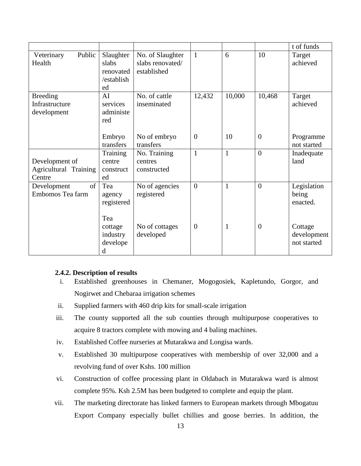|                                                   |                                                     |                                                     |                |        |                | t of funds                            |
|---------------------------------------------------|-----------------------------------------------------|-----------------------------------------------------|----------------|--------|----------------|---------------------------------------|
| Public<br>Veterinary<br>Health                    | Slaughter<br>slabs<br>renovated<br>/establish<br>ed | No. of Slaughter<br>slabs renovated/<br>established | $\mathbf{1}$   | 6      | 10             | Target<br>achieved                    |
| <b>Breeding</b><br>Infrastructure<br>development  | AI<br>services<br>administe<br>red                  | No. of cattle<br>inseminated                        | 12,432         | 10,000 | 10,468         | Target<br>achieved                    |
|                                                   | Embryo<br>transfers                                 | No of embryo<br>transfers                           | $\overline{0}$ | 10     | $\overline{0}$ | Programme<br>not started              |
| Development of<br>Agricultural Training<br>Centre | <b>Training</b><br>centre<br>construct<br>ed        | No. Training<br>centres<br>constructed              | $\mathbf{1}$   | 1      | $\theta$       | Inadequate<br>land                    |
| Development<br>of<br>Embomos Tea farm             | Tea<br>agency<br>registered                         | No of agencies<br>registered                        | $\overline{0}$ | 1      | $\theta$       | Legislation<br>being<br>enacted.      |
|                                                   | Tea<br>cottage<br>industry<br>develope<br>d         | No of cottages<br>developed                         | $\overline{0}$ | 1      | $\overline{0}$ | Cottage<br>development<br>not started |

## <span id="page-21-0"></span>**2.4.2. Description of results**

- i. Established greenhouses in Chemaner, Mogogosiek, Kapletundo, Gorgor, and Nogirwet and Chebaraa irrigation schemes
- ii. Supplied farmers with 460 drip kits for small-scale irrigation
- iii. The county supported all the sub counties through multipurpose cooperatives to acquire 8 tractors complete with mowing and 4 baling machines.
- iv. Established Coffee nurseries at Mutarakwa and Longisa wards.
- v. Established 30 multipurpose cooperatives with membership of over 32,000 and a revolving fund of over Kshs. 100 million
- vi. Construction of coffee processing plant in Oldabach in Mutarakwa ward is almost complete 95%. Ksh 2.5M has been budgeted to complete and equip the plant.
- vii. The marketing directorate has linked farmers to European markets through Mbogatuu Export Company especially bullet chillies and goose berries. In addition, the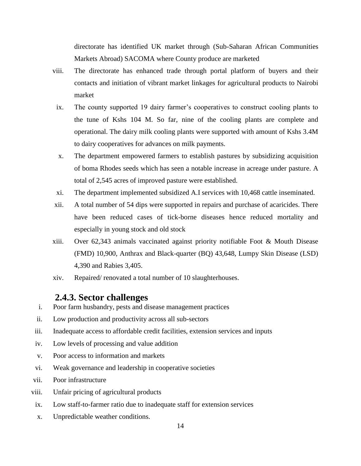directorate has identified UK market through (Sub-Saharan African Communities Markets Abroad) SACOMA where County produce are marketed

- viii. The directorate has enhanced trade through portal platform of buyers and their contacts and initiation of vibrant market linkages for agricultural products to Nairobi market
- ix. The county supported 19 dairy farmer's cooperatives to construct cooling plants to the tune of Kshs 104 M. So far, nine of the cooling plants are complete and operational. The dairy milk cooling plants were supported with amount of Kshs 3.4M to dairy cooperatives for advances on milk payments.
- x. The department empowered farmers to establish pastures by subsidizing acquisition of boma Rhodes seeds which has seen a notable increase in acreage under pasture. A total of 2,545 acres of improved pasture were established.
- xi. The department implemented subsidized A.I services with 10,468 cattle inseminated.
- xii. A total number of 54 dips were supported in repairs and purchase of acaricides. There have been reduced cases of tick-borne diseases hence reduced mortality and especially in young stock and old stock
- xiii. Over 62,343 animals vaccinated against priority notifiable Foot & Mouth Disease (FMD) 10,900, Anthrax and Black-quarter (BQ) 43,648, Lumpy Skin Disease (LSD) 4,390 and Rabies 3,405.
- xiv. Repaired/ renovated a total number of 10 slaughterhouses.

## **2.4.3. Sector challenges**

- <span id="page-22-0"></span>i. Poor farm husbandry, pests and disease management practices
- ii. Low production and productivity across all sub-sectors
- iii. Inadequate access to affordable credit facilities, extension services and inputs
- iv. Low levels of processing and value addition
- v. Poor access to information and markets
- vi. Weak governance and leadership in cooperative societies
- vii. Poor infrastructure
- viii. Unfair pricing of agricultural products
- ix. Low staff-to-farmer ratio due to inadequate staff for extension services
- x. Unpredictable weather conditions.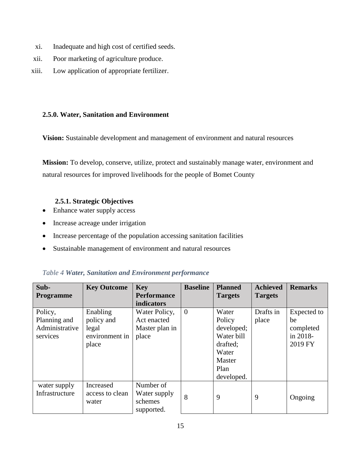- xi. Inadequate and high cost of certified seeds.
- xii. Poor marketing of agriculture produce.
- xiii. Low application of appropriate fertilizer.

#### <span id="page-23-0"></span>**2.5.0. Water, Sanitation and Environment**

**Vision:** Sustainable development and management of environment and natural resources

**Mission:** To develop, conserve, utilize, protect and sustainably manage water, environment and natural resources for improved livelihoods for the people of Bomet County

### **2.5.1. Strategic Objectives**

- <span id="page-23-1"></span>• Enhance water supply access
- Increase acreage under irrigation
- Increase percentage of the population accessing sanitation facilities
- Sustainable management of environment and natural resources

| Sub-<br><b>Programme</b>                              | <b>Key Outcome</b>                                         | <b>Key</b><br><b>Performance</b><br>indicators          | <b>Baseline</b> | <b>Planned</b><br><b>Targets</b>                                                                 | <b>Achieved</b><br><b>Targets</b> | <b>Remarks</b>                                        |
|-------------------------------------------------------|------------------------------------------------------------|---------------------------------------------------------|-----------------|--------------------------------------------------------------------------------------------------|-----------------------------------|-------------------------------------------------------|
| Policy,<br>Planning and<br>Administrative<br>services | Enabling<br>policy and<br>legal<br>environment in<br>place | Water Policy,<br>Act enacted<br>Master plan in<br>place | $\overline{0}$  | Water<br>Policy<br>developed;<br>Water bill<br>drafted:<br>Water<br>Master<br>Plan<br>developed. | Drafts in<br>place                | Expected to<br>be<br>completed<br>in 2018-<br>2019 FY |
| water supply<br>Infrastructure                        | <b>Increased</b><br>access to clean<br>water               | Number of<br>Water supply<br>schemes<br>supported.      | 8               | 9                                                                                                | 9                                 | Ongoing                                               |

## <span id="page-23-2"></span>*Table 4 Water, Sanitation and Environment performance*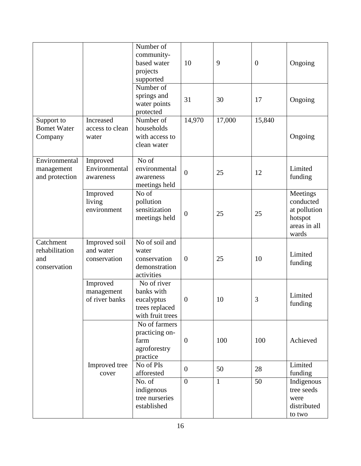|                                                    |                                            | Number of<br>community-<br>based water<br>projects<br>supported               | 10               | 9            | $\overline{0}$ | Ongoing                                                                   |
|----------------------------------------------------|--------------------------------------------|-------------------------------------------------------------------------------|------------------|--------------|----------------|---------------------------------------------------------------------------|
|                                                    |                                            | Number of<br>springs and<br>water points<br>protected                         | 31               | 30           | 17             | Ongoing                                                                   |
| Support to<br><b>Bomet Water</b><br>Company        | Increased<br>access to clean<br>water      | Number of<br>households<br>with access to<br>clean water                      | 14,970           | 17,000       | 15,840         | Ongoing                                                                   |
| Environmental<br>management<br>and protection      | Improved<br>Environmental<br>awareness     | No of<br>environmental<br>awareness<br>meetings held                          | $\overline{0}$   | 25           | 12             | Limited<br>funding                                                        |
|                                                    | Improved<br>living<br>environment          | No of<br>pollution<br>sensitization<br>meetings held                          | $\boldsymbol{0}$ | 25           | 25             | Meetings<br>conducted<br>at pollution<br>hotspot<br>areas in all<br>wards |
| Catchment<br>rehabilitation<br>and<br>conservation | Improved soil<br>and water<br>conservation | No of soil and<br>water<br>conservation<br>demonstration<br>activities        | $\overline{0}$   | 25           | 10             | Limited<br>funding                                                        |
|                                                    | Improved<br>management<br>of river banks   | No of river<br>banks with<br>eucalyptus<br>trees replaced<br>with fruit trees | $\overline{0}$   | 10           | 3              | Limited<br>$\operatorname{funding}$                                       |
|                                                    |                                            | No of farmers<br>practicing on-<br>farm<br>agroforestry<br>practice           | $\overline{0}$   | 100          | 100            | Achieved                                                                  |
|                                                    | Improved tree<br>cover                     | No of PIs<br>afforested                                                       | $\overline{0}$   | 50           | 28             | Limited<br>funding                                                        |
|                                                    |                                            | No. of<br>indigenous<br>tree nurseries<br>established                         | $\overline{0}$   | $\mathbf{1}$ | 50             | Indigenous<br>tree seeds<br>were<br>distributed<br>to two                 |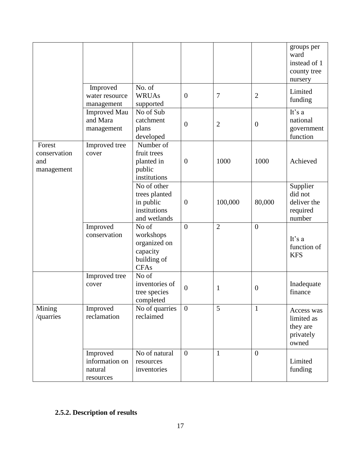|                                             |                                                    |                                                                              |                |                |                | groups per<br>ward<br>instead of 1<br>county tree<br>nursery |
|---------------------------------------------|----------------------------------------------------|------------------------------------------------------------------------------|----------------|----------------|----------------|--------------------------------------------------------------|
|                                             | Improved<br>water resource<br>management           | No. of<br><b>WRUAs</b><br>supported                                          | $\overline{0}$ | $\overline{7}$ | $\overline{2}$ | Limited<br>funding                                           |
|                                             | <b>Improved Mau</b><br>and Mara<br>management      | No of Sub<br>catchment<br>plans<br>developed                                 | $\overline{0}$ | $\overline{2}$ | $\theta$       | It's a<br>national<br>government<br>function                 |
| Forest<br>conservation<br>and<br>management | Improved tree<br>cover                             | Number of<br>fruit trees<br>planted in<br>public<br>institutions             | $\theta$       | 1000           | 1000           | Achieved                                                     |
|                                             |                                                    | No of other<br>trees planted<br>in public<br>institutions<br>and wetlands    | $\theta$       | 100,000        | 80,000         | Supplier<br>did not<br>deliver the<br>required<br>number     |
|                                             | Improved<br>conservation                           | No of<br>workshops<br>organized on<br>capacity<br>building of<br><b>CFAs</b> | $\overline{0}$ | $\overline{2}$ | $\overline{0}$ | It's a<br>function of<br><b>KFS</b>                          |
|                                             | Improved tree<br>cover                             | No of<br>inventories of<br>tree species<br>completed                         | $\overline{0}$ | $\mathbf{1}$   | $\theta$       | Inadequate<br>finance                                        |
| Mining<br>/quarries                         | Improved<br>reclamation                            | No of quarries<br>reclaimed                                                  | $\overline{0}$ | 5              | 1              | Access was<br>limited as<br>they are<br>privately<br>owned   |
|                                             | Improved<br>information on<br>natural<br>resources | No of natural<br>resources<br>inventories                                    | $\overline{0}$ | $\mathbf{1}$   | $\overline{0}$ | Limited<br>funding                                           |

## <span id="page-25-0"></span>**2.5.2. Description of results**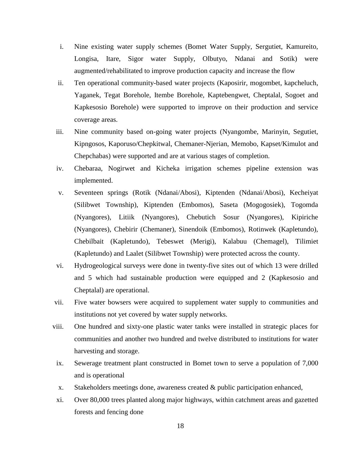- i. Nine existing water supply schemes (Bomet Water Supply, Sergutiet, Kamureito, Longisa, Itare, Sigor water Supply, Olbutyo, Ndanai and Sotik) were augmented/rehabilitated to improve production capacity and increase the flow
- ii. Ten operational community-based water projects (Kaposirir, mogombet, kapcheluch, Yaganek, Tegat Borehole, Itembe Borehole, Kaptebengwet, Cheptalal, Sogoet and Kapkesosio Borehole) were supported to improve on their production and service coverage areas.
- iii. Nine community based on-going water projects (Nyangombe, Marinyin, Segutiet, Kipngosos, Kaporuso/Chepkitwal, Chemaner-Njerian, Memobo, Kapset/Kimulot and Chepchabas) were supported and are at various stages of completion.
- iv. Chebaraa, Nogirwet and Kicheka irrigation schemes pipeline extension was implemented.
- v. Seventeen springs (Rotik (Ndanai/Abosi), Kiptenden (Ndanai/Abosi), Kecheiyat (Silibwet Township), Kiptenden (Embomos), Saseta (Mogogosiek), Togomda (Nyangores), Litiik (Nyangores), Chebutich Sosur (Nyangores), Kipiriche (Nyangores), Chebirir (Chemaner), Sinendoik (Embomos), Rotinwek (Kapletundo), Chebilbait (Kapletundo), Tebeswet (Merigi), Kalabuu (Chemagel), Tilimiet (Kapletundo) and Laalet (Silibwet Township) were protected across the county.
- vi. Hydrogeological surveys were done in twenty-five sites out of which 13 were drilled and 5 which had sustainable production were equipped and 2 (Kapkesosio and Cheptalal) are operational.
- vii. Five water bowsers were acquired to supplement water supply to communities and institutions not yet covered by water supply networks.
- viii. One hundred and sixty-one plastic water tanks were installed in strategic places for communities and another two hundred and twelve distributed to institutions for water harvesting and storage.
- ix. Sewerage treatment plant constructed in Bomet town to serve a population of 7,000 and is operational
- x. Stakeholders meetings done, awareness created & public participation enhanced,
- xi. Over 80,000 trees planted along major highways, within catchment areas and gazetted forests and fencing done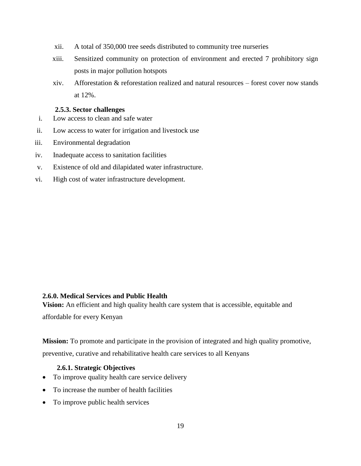- xii. A total of 350,000 tree seeds distributed to community tree nurseries
- xiii. Sensitized community on protection of environment and erected 7 prohibitory sign posts in major pollution hotspots
- xiv. Afforestation & reforestation realized and natural resources forest cover now stands at 12%.

#### **2.5.3. Sector challenges**

- <span id="page-27-0"></span>i. Low access to clean and safe water
- ii. Low access to water for irrigation and livestock use
- iii. Environmental degradation
- iv. Inadequate access to sanitation facilities
- v. Existence of old and dilapidated water infrastructure.
- vi. High cost of water infrastructure development.

#### <span id="page-27-1"></span>**2.6.0. Medical Services and Public Health**

**Vision:** An efficient and high quality health care system that is accessible, equitable and

affordable for every Kenyan

**Mission:** To promote and participate in the provision of integrated and high quality promotive, preventive, curative and rehabilitative health care services to all Kenyans

#### <span id="page-27-2"></span>**2.6.1. Strategic Objectives**

- To improve quality health care service delivery
- To increase the number of health facilities
- To improve public health services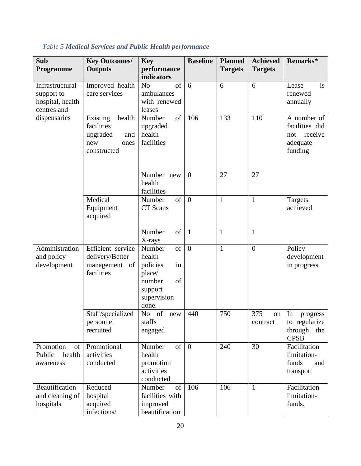| Sub<br><b>Programme</b>                                          | <b>Key Outcomes/</b><br><b>Outputs</b>                                            | <b>Key</b><br>performance<br>indicators                                                                          | <b>Baseline</b> | <b>Planned</b><br><b>Targets</b> | <b>Achieved</b><br><b>Targets</b> | Remarks*                                                               |
|------------------------------------------------------------------|-----------------------------------------------------------------------------------|------------------------------------------------------------------------------------------------------------------|-----------------|----------------------------------|-----------------------------------|------------------------------------------------------------------------|
| Infrastructural<br>support to<br>hospital, health<br>centres and | Improved health<br>care services                                                  | of<br>N <sub>o</sub><br>ambulances<br>with renewed<br>leases                                                     | 6               | 6                                | 6                                 | is<br>Lease<br>renewed<br>annually                                     |
| dispensaries                                                     | Existing<br>health<br>facilities<br>upgraded<br>and<br>new<br>ones<br>constructed | Number<br>of<br>upgraded<br>health<br>facilities                                                                 | 106             | 133                              | 110                               | A number of<br>facilities did<br>receive<br>not<br>adequate<br>funding |
|                                                                  |                                                                                   | Number new<br>health<br>facilities                                                                               | $\mathbf{0}$    | 27                               | 27                                |                                                                        |
|                                                                  | Medical<br>Equipment<br>acquired                                                  | of<br>Number<br>CT Scans                                                                                         | $\overline{0}$  | $\mathbf{1}$                     | $\mathbf{1}$                      | Targets<br>achieved                                                    |
|                                                                  |                                                                                   | <sub>of</sub><br>Number<br>X-rays                                                                                | $\mathbf{1}$    | $\mathbf{1}$                     | $\mathbf{1}$                      |                                                                        |
| Administration<br>and policy<br>development                      | Efficient service<br>delivery/Better<br>management<br>of<br>facilities            | <sub>of</sub><br>Number<br>health<br>in<br>policies<br>place/<br>of<br>number<br>support<br>supervision<br>done. | $\overline{0}$  | $\mathbf{1}$                     | $\overline{0}$                    | Policy<br>development<br>in progress                                   |
|                                                                  | Staff/specialized<br>personnel<br>recruited                                       | $of$ <sup><math>-</math></sup><br>N <sub>o</sub><br>new<br>staffs<br>engaged                                     | 440             | 750                              | 375<br>on<br>contract             | In<br>progress<br>to regularize<br>through<br>the<br><b>CPSB</b>       |
| Promotion<br>of<br>Public<br>health<br>awareness                 | Promotional<br>activities<br>conducted                                            | <sub>of</sub><br>Number<br>health<br>promotion<br>activities<br>conducted                                        | $\overline{0}$  | 240                              | 30                                | Facilitation<br>limitation-<br>funds<br>and<br>transport               |
| Beautification<br>and cleaning of<br>hospitals                   | Reduced<br>hospital<br>acquired<br>infections/                                    | Number<br>of<br>facilities with<br>improved<br>beautification                                                    | 106             | 106                              | $\mathbf{1}$                      | Facilitation<br>limitation-<br>funds.                                  |

## <span id="page-28-0"></span>*Table 5 Medical Services and Public Health performance*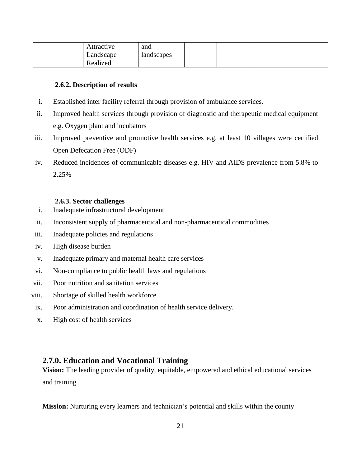| Attractive<br>Landscape | and<br>landscapes |  |  |
|-------------------------|-------------------|--|--|
| Realized                |                   |  |  |

#### <span id="page-29-0"></span>**2.6.2. Description of results**

- i. Established inter facility referral through provision of ambulance services.
- ii. Improved health services through provision of diagnostic and therapeutic medical equipment e.g. Oxygen plant and incubators
- iii. Improved preventive and promotive health services e.g. at least 10 villages were certified Open Defecation Free (ODF)
- iv. Reduced incidences of communicable diseases e.g. HIV and AIDS prevalence from 5.8% to 2.25%

#### **2.6.3. Sector challenges**

- <span id="page-29-1"></span>i. Inadequate infrastructural development
- ii. Inconsistent supply of pharmaceutical and non-pharmaceutical commodities
- iii. Inadequate policies and regulations
- iv. High disease burden
- v. Inadequate primary and maternal health care services
- vi. Non-compliance to public health laws and regulations
- vii. Poor nutrition and sanitation services
- viii. Shortage of skilled health workforce
- ix. Poor administration and coordination of health service delivery.
- x. High cost of health services

## <span id="page-29-2"></span>**2.7.0. Education and Vocational Training**

**Vision:** The leading provider of quality, equitable, empowered and ethical educational services and training

**Mission:** Nurturing every learners and technician's potential and skills within the county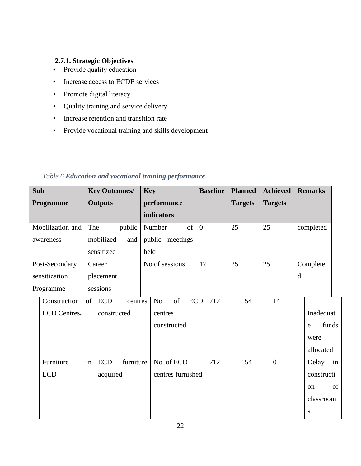## <span id="page-30-0"></span>**2.7.1. Strategic Objectives**

- Provide quality education
- Increase access to ECDE services
- Promote digital literacy
- Quality training and service delivery
- Increase retention and transition rate
- Provide vocational training and skills development

| <b>Sub</b>       |                  | <b>Key Outcomes/</b> |           | <b>Key</b> |                         |                | <b>Baseline</b> |    | <b>Planned</b> |    | <b>Achieved</b> |   | <b>Remarks</b> |       |
|------------------|------------------|----------------------|-----------|------------|-------------------------|----------------|-----------------|----|----------------|----|-----------------|---|----------------|-------|
| Programme        |                  | <b>Outputs</b>       |           |            | performance             |                |                 |    | <b>Targets</b> |    | <b>Targets</b>  |   |                |       |
|                  |                  |                      |           |            | <b>indicators</b>       |                |                 |    |                |    |                 |   |                |       |
| Mobilization and | The              |                      | public    |            | of<br>Number            | $\overline{0}$ |                 | 25 |                | 25 |                 |   | completed      |       |
| awareness        |                  | mobilized            | and       |            | public meetings         |                |                 |    |                |    |                 |   |                |       |
|                  |                  | sensitized           |           | held       |                         |                |                 |    |                |    |                 |   |                |       |
| Post-Secondary   |                  | Career               |           |            | No of sessions          | 17             |                 | 25 |                | 25 |                 |   | Complete       |       |
| sensitization    |                  | placement            |           |            |                         |                |                 |    |                |    |                 | d |                |       |
| Programme        |                  | sessions             |           |            |                         |                |                 |    |                |    |                 |   |                |       |
| Construction     | $\left  \right $ | <b>ECD</b>           | centres   |            | of<br><b>ECD</b><br>No. |                | 712             |    | 154            |    | 14              |   |                |       |
| ECD Centres.     |                  | constructed          |           |            | centres                 |                |                 |    |                |    |                 |   | Inadequat      |       |
|                  |                  |                      |           |            | constructed             |                |                 |    |                |    |                 |   | e              | funds |
|                  |                  |                      |           |            |                         |                |                 |    |                |    |                 |   | were           |       |
|                  |                  |                      |           |            |                         |                |                 |    |                |    |                 |   | allocated      |       |
| Furniture        | in               | <b>ECD</b>           | furniture |            | No. of ECD              |                | 712             |    | 154            |    | $\overline{0}$  |   | Delay          | in    |
| <b>ECD</b>       |                  | acquired             |           |            | centres furnished       |                |                 |    |                |    |                 |   | constructi     |       |
|                  |                  |                      |           |            |                         |                |                 |    |                |    |                 |   | <sub>on</sub>  | of    |
|                  |                  |                      |           |            |                         |                |                 |    |                |    |                 |   | classroom      |       |
|                  |                  |                      |           |            |                         |                |                 |    |                |    |                 |   | S              |       |

## <span id="page-30-1"></span>*Table 6 Education and vocational training performance*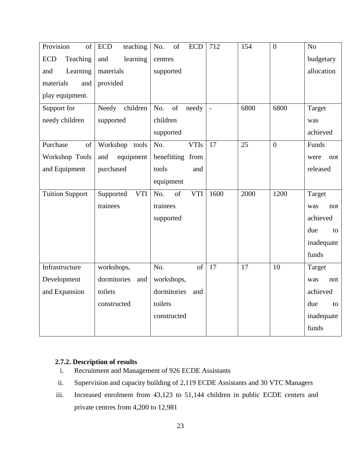| Provision<br>of        | teaching<br><b>ECD</b>  | of<br>No.<br><b>ECD</b> | 712          | 154  | $\overline{0}$ | N <sub>o</sub> |
|------------------------|-------------------------|-------------------------|--------------|------|----------------|----------------|
| Teaching<br><b>ECD</b> | learning<br>and         | centres                 |              |      |                | budgetary      |
| Learning<br>and        | materials               | supported               |              |      |                | allocation     |
| materials<br>and       | provided                |                         |              |      |                |                |
| play equipment.        |                         |                         |              |      |                |                |
| Support for            | Needy children          | of<br>No.<br>needy      | $\mathbb{L}$ | 6800 | 6800           | Target         |
| needy children         | supported               | children                |              |      |                | was            |
|                        |                         | supported               |              |      |                | achieved       |
| Purchase<br>of         | Workshop tools          | No.<br><b>VTIs</b>      | 17           | 25   | $\overline{0}$ | Funds          |
| Workshop Tools         | and<br>equipment        | benefitting from        |              |      |                | were<br>not    |
| and Equipment          | purchased               | tools<br>and            |              |      |                | released       |
|                        |                         | equipment               |              |      |                |                |
| <b>Tuition Support</b> | <b>VTI</b><br>Supported | No.<br>of<br><b>VTI</b> | 1600         | 2000 | 1200           | Target         |
|                        | trainees                | trainees                |              |      |                | was<br>not     |
|                        |                         | supported               |              |      |                | achieved       |
|                        |                         |                         |              |      |                | due<br>to      |
|                        |                         |                         |              |      |                | inadequate     |
|                        |                         |                         |              |      |                | funds          |
| Infrastructure         | workshops,              | No.<br>of               | 17           | 17   | 10             | Target         |
| Development            | dormitories<br>and      | workshops,              |              |      |                | was<br>not     |
| and Expansion          | toilets                 | dormitories<br>and      |              |      |                | achieved       |
|                        | constructed             | toilets                 |              |      |                | due<br>to      |
|                        |                         | constructed             |              |      |                | inadequate     |
|                        |                         |                         |              |      |                | funds          |

## <span id="page-31-0"></span>**2.7.2. Description of results**

- i. Recruitment and Management of 926 ECDE Assistants
- ii. Supervision and capacity building of 2,119 ECDE Assistants and 30 VTC Managers
- iii. Increased enrolment from 43,123 to 51,144 children in public ECDE centers and private centres from 4,200 to 12,981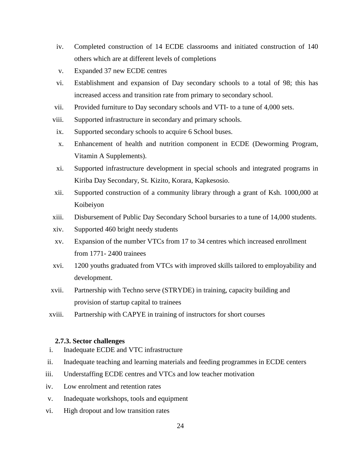- iv. Completed construction of 14 ECDE classrooms and initiated construction of 140 others which are at different levels of completions
- v. Expanded 37 new ECDE centres
- vi. Establishment and expansion of Day secondary schools to a total of 98; this has increased access and transition rate from primary to secondary school.
- vii. Provided furniture to Day secondary schools and VTI- to a tune of 4,000 sets.
- viii. Supported infrastructure in secondary and primary schools.
- ix. Supported secondary schools to acquire 6 School buses.
- x. Enhancement of health and nutrition component in ECDE (Deworming Program, Vitamin A Supplements).
- xi. Supported infrastructure development in special schools and integrated programs in Kiriba Day Secondary, St. Kizito, Korara, Kapkesosio.
- xii. Supported construction of a community library through a grant of Ksh. 1000,000 at Koibeiyon
- xiii. Disbursement of Public Day Secondary School bursaries to a tune of 14,000 students.
- xiv. Supported 460 bright needy students
- xv. Expansion of the number VTCs from 17 to 34 centres which increased enrollment from 1771- 2400 trainees
- xvi. 1200 youths graduated from VTCs with improved skills tailored to employability and development.
- xvii. Partnership with Techno serve (STRYDE) in training, capacity building and provision of startup capital to trainees
- xviii. Partnership with CAPYE in training of instructors for short courses

#### **2.7.3. Sector challenges**

- <span id="page-32-0"></span>i. Inadequate ECDE and VTC infrastructure
- ii. Inadequate teaching and learning materials and feeding programmes in ECDE centers
- iii. Understaffing ECDE centres and VTCs and low teacher motivation
- iv. Low enrolment and retention rates
- v. Inadequate workshops, tools and equipment
- vi. High dropout and low transition rates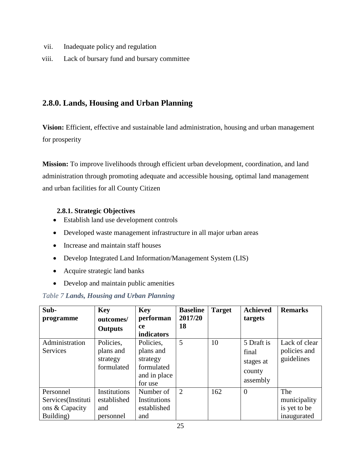- vii. Inadequate policy and regulation
- viii. Lack of bursary fund and bursary committee

## <span id="page-33-0"></span>**2.8.0. Lands, Housing and Urban Planning**

**Vision:** Efficient, effective and sustainable land administration, housing and urban management for prosperity

**Mission:** To improve livelihoods through efficient urban development, coordination, and land administration through promoting adequate and accessible housing, optimal land management and urban facilities for all County Citizen

## <span id="page-33-1"></span>**2.8.1. Strategic Objectives**

- Establish land use development controls
- Developed waste management infrastructure in all major urban areas
- Increase and maintain staff houses
- Develop Integrated Land Information/Management System (LIS)
- Acquire strategic land banks
- Develop and maintain public amenities

## <span id="page-33-2"></span>*Table 7 Lands, Housing and Urban Planning*

| Sub-<br>programme                                              | <b>Key</b><br>outcomes/                          | <b>Key</b><br>performan                                                     | <b>Baseline</b><br>2017/20 | <b>Target</b> | <b>Achieved</b><br>targets                             | <b>Remarks</b>                                     |
|----------------------------------------------------------------|--------------------------------------------------|-----------------------------------------------------------------------------|----------------------------|---------------|--------------------------------------------------------|----------------------------------------------------|
|                                                                | <b>Outputs</b>                                   | <b>ce</b><br>indicators                                                     | 18                         |               |                                                        |                                                    |
| Administration<br>Services                                     | Policies,<br>plans and<br>strategy<br>formulated | Policies,<br>plans and<br>strategy<br>formulated<br>and in place<br>for use | 5                          | 10            | 5 Draft is<br>final<br>stages at<br>county<br>assembly | Lack of clear<br>policies and<br>guidelines        |
| Personnel<br>Services(Instituti<br>ons & Capacity<br>Building) | Institutions<br>established<br>and<br>personnel  | Number of<br>Institutions<br>established<br>and                             | $\overline{2}$             | 162           | $\theta$                                               | The<br>municipality<br>is yet to be<br>inaugurated |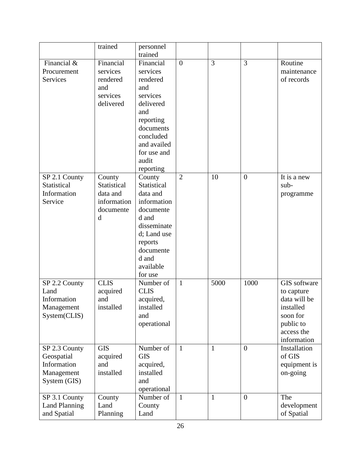|                      | trained     | personnel              |                |              |                |              |
|----------------------|-------------|------------------------|----------------|--------------|----------------|--------------|
|                      |             | trained                |                |              |                |              |
| Financial &          | Financial   | Financial              | $\overline{0}$ | 3            | 3              | Routine      |
| Procurement          | services    | services               |                |              |                | maintenance  |
| <b>Services</b>      | rendered    | rendered               |                |              |                | of records   |
|                      | and         | and                    |                |              |                |              |
|                      | services    | services               |                |              |                |              |
|                      | delivered   | delivered              |                |              |                |              |
|                      |             | and                    |                |              |                |              |
|                      |             | reporting              |                |              |                |              |
|                      |             | documents              |                |              |                |              |
|                      |             | concluded              |                |              |                |              |
|                      |             | and availed            |                |              |                |              |
|                      |             | for use and            |                |              |                |              |
|                      |             | audit                  |                |              |                |              |
|                      |             | reporting              |                |              |                |              |
| SP 2.1 County        | County      | County                 | $\overline{2}$ | 10           | $\overline{0}$ | It is a new  |
| Statistical          | Statistical | Statistical            |                |              |                | sub-         |
| Information          | data and    | data and               |                |              |                | programme    |
| Service              | information | information            |                |              |                |              |
|                      | documente   | documente              |                |              |                |              |
|                      | d           | d and                  |                |              |                |              |
|                      |             | disseminate            |                |              |                |              |
|                      |             | d; Land use            |                |              |                |              |
|                      |             | reports                |                |              |                |              |
|                      |             | documente              |                |              |                |              |
|                      |             | d and                  |                |              |                |              |
|                      |             | available              |                |              |                |              |
|                      |             | for use                |                |              |                |              |
| SP 2.2 County        | <b>CLIS</b> | Number of              | $\mathbf{1}$   | 5000         | 1000           | GIS software |
| Land                 | acquired    | <b>CLIS</b>            |                |              |                | to capture   |
| Information          | and         |                        |                |              |                | data will be |
|                      |             | acquired,<br>installed |                |              |                | installed    |
| Management           | installed   |                        |                |              |                |              |
| System(CLIS)         |             | and                    |                |              |                | soon for     |
|                      |             | operational            |                |              |                | public to    |
|                      |             |                        |                |              |                | access the   |
|                      |             |                        |                |              |                | information  |
| SP 2.3 County        | <b>GIS</b>  | Number of              | $\mathbf{1}$   | $\mathbf{1}$ | $\overline{0}$ | Installation |
| Geospatial           | acquired    | <b>GIS</b>             |                |              |                | of GIS       |
| Information          | and         | acquired,              |                |              |                | equipment is |
| Management           | installed   | installed              |                |              |                | on-going     |
| System (GIS)         |             | and                    |                |              |                |              |
|                      |             | operational            |                |              |                |              |
| SP 3.1 County        | County      | Number of              | $\mathbf{1}$   | $\mathbf{1}$ | $\overline{0}$ | The          |
| <b>Land Planning</b> | Land        | County                 |                |              |                | development  |
| and Spatial          | Planning    | Land                   |                |              |                | of Spatial   |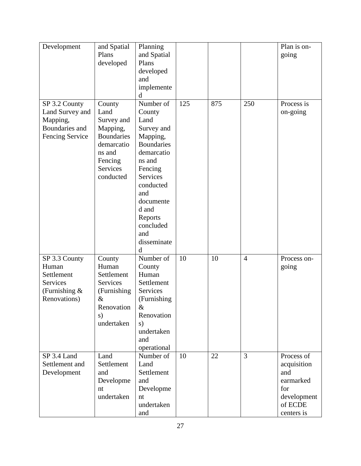| Development     | and Spatial       | Planning          |     |     |                | Plan is on- |
|-----------------|-------------------|-------------------|-----|-----|----------------|-------------|
|                 | Plans             | and Spatial       |     |     |                | going       |
|                 | developed         | Plans             |     |     |                |             |
|                 |                   | developed         |     |     |                |             |
|                 |                   | and               |     |     |                |             |
|                 |                   | implemente        |     |     |                |             |
|                 |                   | d                 |     |     |                |             |
| SP 3.2 County   | County            | Number of         | 125 | 875 | 250            | Process is  |
| Land Survey and | Land              | County            |     |     |                | on-going    |
| Mapping,        | Survey and        | Land              |     |     |                |             |
| Boundaries and  | Mapping,          | Survey and        |     |     |                |             |
| Fencing Service | <b>Boundaries</b> | Mapping,          |     |     |                |             |
|                 | demarcatio        | <b>Boundaries</b> |     |     |                |             |
|                 | ns and            | demarcatio        |     |     |                |             |
|                 | Fencing           | ns and            |     |     |                |             |
|                 | Services          | Fencing           |     |     |                |             |
|                 | conducted         | Services          |     |     |                |             |
|                 |                   | conducted         |     |     |                |             |
|                 |                   | and               |     |     |                |             |
|                 |                   | documente         |     |     |                |             |
|                 |                   | d and             |     |     |                |             |
|                 |                   | Reports           |     |     |                |             |
|                 |                   | concluded         |     |     |                |             |
|                 |                   | and               |     |     |                |             |
|                 |                   | disseminate       |     |     |                |             |
|                 |                   | d                 |     |     |                |             |
| SP 3.3 County   | County            | Number of         | 10  | 10  | $\overline{4}$ | Process on- |
| Human           | Human             | County            |     |     |                | going       |
| Settlement      | Settlement        | Human             |     |     |                |             |
| Services        | Services          | Settlement        |     |     |                |             |
| (Furnishing $&$ | (Furnishing)      | Services          |     |     |                |             |
| Renovations)    | $\&$              | (Furnishing       |     |     |                |             |
|                 | Renovation        | &                 |     |     |                |             |
|                 | s)                | Renovation        |     |     |                |             |
|                 | undertaken        | s)                |     |     |                |             |
|                 |                   | undertaken        |     |     |                |             |
|                 |                   | and               |     |     |                |             |
|                 |                   | operational       |     |     |                |             |
| SP 3.4 Land     | Land              | Number of         | 10  | 22  | 3              | Process of  |
| Settlement and  | Settlement        | Land              |     |     |                | acquisition |
| Development     | and               | Settlement        |     |     |                | and         |
|                 | Developme         | and               |     |     |                | earmarked   |
|                 | nt                | Developme         |     |     |                | for         |
|                 | undertaken        | nt                |     |     |                | development |
|                 |                   | undertaken        |     |     |                | of ECDE     |
|                 |                   | and               |     |     |                | centers is  |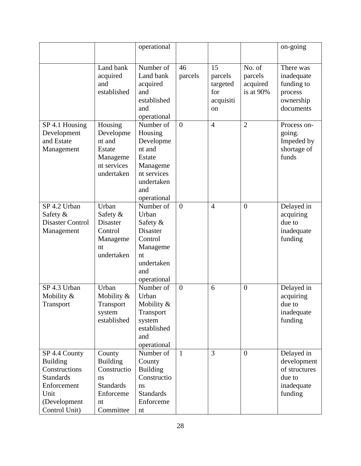|                                                                                                                               |                                                                                                    | operational                                                                                                          |                |                                                     |                                            | on-going                                                                      |
|-------------------------------------------------------------------------------------------------------------------------------|----------------------------------------------------------------------------------------------------|----------------------------------------------------------------------------------------------------------------------|----------------|-----------------------------------------------------|--------------------------------------------|-------------------------------------------------------------------------------|
|                                                                                                                               | Land bank<br>acquired<br>and<br>established                                                        | Number of<br>Land bank<br>acquired<br>and<br>established<br>and<br>operational                                       | 46<br>parcels  | 15<br>parcels<br>targeted<br>for<br>acquisiti<br>on | No. of<br>parcels<br>acquired<br>is at 90% | There was<br>inadequate<br>funding to<br>process<br>ownership<br>documents    |
| SP 4.1 Housing<br>Development<br>and Estate<br>Management                                                                     | Housing<br>Developme<br>nt and<br>Estate<br>Manageme<br>nt services<br>undertaken                  | Number of<br>Housing<br>Developme<br>nt and<br>Estate<br>Manageme<br>nt services<br>undertaken<br>and<br>operational | $\theta$       | $\overline{4}$                                      | $\overline{2}$                             | Process on-<br>going.<br>Impeded by<br>shortage of<br>funds                   |
| SP 4.2 Urban<br>Safety &<br><b>Disaster Control</b><br>Management                                                             | Urban<br>Safety &<br><b>Disaster</b><br>Control<br>Manageme<br>nt<br>undertaken                    | Number of<br>Urban<br>Safety &<br>Disaster<br>Control<br>Manageme<br>nt<br>undertaken<br>and<br>operational          | $\overline{0}$ | $\overline{4}$                                      | $\overline{0}$                             | Delayed in<br>acquiring<br>due to<br>inadequate<br>funding                    |
| SP 4.3 Urban<br>Mobility &<br>Transport                                                                                       | Urban<br>Mobility $&$<br>Transport<br>system<br>established                                        | Number of<br>Urban<br>Mobility $&$<br>Transport<br>system<br>established<br>and<br>operational                       | $\overline{0}$ | 6                                                   | $\theta$                                   | Delayed in<br>acquiring<br>due to<br>inadequate<br>funding                    |
| SP 4.4 County<br><b>Building</b><br>Constructions<br><b>Standards</b><br>Enforcement<br>Unit<br>(Development<br>Control Unit) | County<br><b>Building</b><br>Constructio<br>ns<br><b>Standards</b><br>Enforceme<br>nt<br>Committee | Number of<br>County<br><b>Building</b><br>Constructio<br>ns<br><b>Standards</b><br>Enforceme<br>nt                   | $\mathbf{1}$   | 3                                                   | $\overline{0}$                             | Delayed in<br>development<br>of structures<br>due to<br>inadequate<br>funding |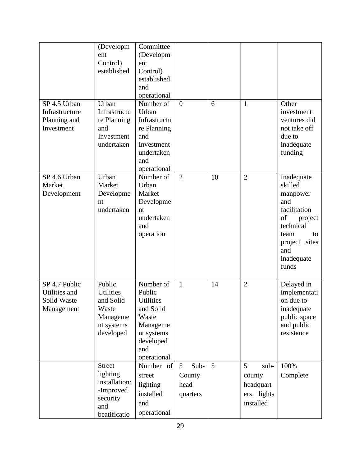| SP 4.5 Urban<br>Infrastructure<br>Planning and<br>Investment | (Developm<br>ent<br>Control)<br>established<br>Urban<br>Infrastructu<br>re Planning<br>and<br>Investment<br>undertaken | Committee<br>(Developm<br>ent<br>Control)<br>established<br>and<br>operational<br>Number of<br>Urban<br>Infrastructu<br>re Planning<br>and<br>Investment<br>undertaken<br>and<br>operational | $\overline{0}$                                        | 6  | 1                                                           | Other<br>investment<br>ventures did<br>not take off<br>due to<br>inadequate<br>funding                                                              |
|--------------------------------------------------------------|------------------------------------------------------------------------------------------------------------------------|----------------------------------------------------------------------------------------------------------------------------------------------------------------------------------------------|-------------------------------------------------------|----|-------------------------------------------------------------|-----------------------------------------------------------------------------------------------------------------------------------------------------|
| SP 4.6 Urban<br>Market<br>Development                        | Urban<br>Market<br>Developme<br>nt<br>undertaken                                                                       | Number of<br>Urban<br>Market<br>Developme<br>nt<br>undertaken<br>and<br>operation                                                                                                            | $\overline{2}$                                        | 10 | $\overline{2}$                                              | Inadequate<br>skilled<br>manpower<br>and<br>facilitation<br>of<br>project<br>technical<br>team<br>to<br>project sites<br>and<br>inadequate<br>funds |
| SP 4.7 Public<br>Utilities and<br>Solid Waste<br>Management  | Public<br><b>Utilities</b><br>and Solid<br>Waste<br>Manageme<br>nt systems<br>developed                                | Number of<br>Public<br><b>Utilities</b><br>and Solid<br>Waste<br>Manageme<br>nt systems<br>developed<br>and<br>operational                                                                   | $\mathbf{1}$                                          | 14 | $\overline{2}$                                              | Delayed in<br>implementati<br>on due to<br>inadequate<br>public space<br>and public<br>resistance                                                   |
|                                                              | <b>Street</b><br>lighting<br>installation:<br>-Improved<br>security<br>and<br>beatificatio                             | Number of<br>street<br>lighting<br>installed<br>and<br>operational                                                                                                                           | Sub-<br>$5\overline{)}$<br>County<br>head<br>quarters | 5  | 5<br>sub-<br>county<br>headquart<br>ers lights<br>installed | 100%<br>Complete                                                                                                                                    |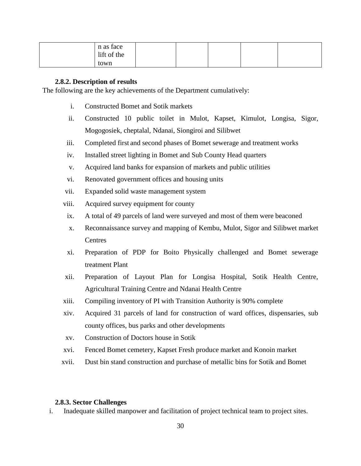| n as face<br>lift of the |  |  |  |
|--------------------------|--|--|--|
| town                     |  |  |  |

#### **2.8.2. Description of results**

<span id="page-38-0"></span>The following are the key achievements of the Department cumulatively:

- i. Constructed Bomet and Sotik markets
- ii. Constructed 10 public toilet in Mulot, Kapset, Kimulot, Longisa, Sigor, Mogogosiek, cheptalal, Ndanai, Siongiroi and Silibwet
- iii. Completed first and second phases of Bomet sewerage and treatment works
- iv. Installed street lighting in Bomet and Sub County Head quarters
- v. Acquired land banks for expansion of markets and public utilities
- vi. Renovated government offices and housing units
- vii. Expanded solid waste management system
- viii. Acquired survey equipment for county
- ix. A total of 49 parcels of land were surveyed and most of them were beaconed
- x. Reconnaissance survey and mapping of Kembu, Mulot, Sigor and Silibwet market **Centres**
- xi. Preparation of PDP for Boito Physically challenged and Bomet sewerage treatment Plant
- xii. Preparation of Layout Plan for Longisa Hospital, Sotik Health Centre, Agricultural Training Centre and Ndanai Health Centre
- xiii. Compiling inventory of PI with Transition Authority is 90% complete
- xiv. Acquired 31 parcels of land for construction of ward offices, dispensaries, sub county offices, bus parks and other developments
- xv. Construction of Doctors house in Sotik
- xvi. Fenced Bomet cemetery, Kapset Fresh produce market and Konoin market
- xvii. Dust bin stand construction and purchase of metallic bins for Sotik and Bomet

#### <span id="page-38-1"></span>**2.8.3. Sector Challenges**

i. Inadequate skilled manpower and facilitation of project technical team to project sites.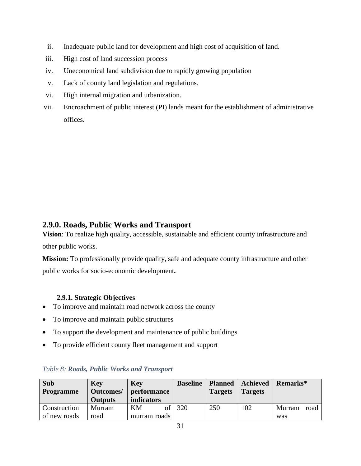- ii. Inadequate public land for development and high cost of acquisition of land.
- iii. High cost of land succession process
- iv. Uneconomical land subdivision due to rapidly growing population
- v. Lack of county land legislation and regulations.
- vi. High internal migration and urbanization.
- vii. Encroachment of public interest (PI) lands meant for the establishment of administrative offices.

## <span id="page-39-0"></span>**2.9.0. Roads, Public Works and Transport**

**Vision**: To realize high quality, accessible, sustainable and efficient county infrastructure and other public works.

**Mission:** To professionally provide quality, safe and adequate county infrastructure and other public works for socio-economic development**.**

#### <span id="page-39-1"></span>**2.9.1. Strategic Objectives**

- To improve and maintain road network across the county
- To improve and maintain public structures
- To support the development and maintenance of public buildings
- To provide efficient county fleet management and support

| <b>Sub</b>       | <b>Key</b> | <b>Key</b>        | <b>Baseline</b> |                | <b>Planned</b>   Achieved | Remarks*       |
|------------------|------------|-------------------|-----------------|----------------|---------------------------|----------------|
| <b>Programme</b> | Outcomes/  | performance       |                 | <b>Targets</b> | <b>Targets</b>            |                |
|                  | Outputs    | <i>indicators</i> |                 |                |                           |                |
| Construction     | Murram     | KM<br>of          | 320             | 250            | 102                       | Murram<br>road |
| of new roads     | road       | murram roads      |                 |                |                           | was            |

#### <span id="page-39-2"></span>*Table 8: Roads, Public Works and Transport*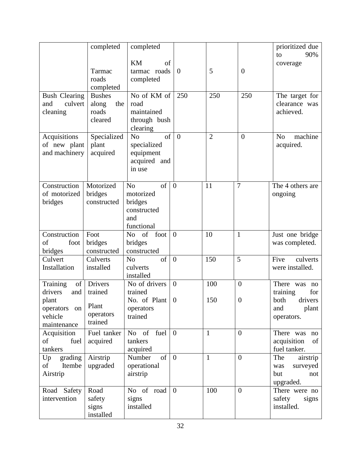| <b>Bush Clearing</b><br>culvert<br>and<br>cleaning<br>Acquisitions | completed<br>Tarmac<br>roads<br>completed<br><b>Bushes</b><br>along<br>the<br>roads<br>cleared<br>Specialized | completed<br><b>KM</b><br>of<br>tarmac roads<br>completed<br>No of KM of<br>road<br>maintained<br>through bush<br>clearing<br>of<br>N <sub>o</sub> | $\overline{0}$<br>250<br>$\theta$ | 5<br>250<br>$\overline{2}$ | $\theta$<br>250<br>$\overline{0}$ | prioritized due<br>90%<br>to<br>coverage<br>The target for<br>clearance was<br>achieved.<br>N <sub>o</sub><br>machine |
|--------------------------------------------------------------------|---------------------------------------------------------------------------------------------------------------|----------------------------------------------------------------------------------------------------------------------------------------------------|-----------------------------------|----------------------------|-----------------------------------|-----------------------------------------------------------------------------------------------------------------------|
| of new plant<br>and machinery                                      | plant<br>acquired                                                                                             | specialized<br>equipment<br>acquired and<br>in use                                                                                                 |                                   |                            |                                   | acquired.                                                                                                             |
| Construction<br>of motorized<br>bridges                            | Motorized<br>bridges<br>constructed                                                                           | of<br>N <sub>o</sub><br>motorized<br>bridges<br>constructed<br>and<br>functional                                                                   | $\overline{0}$                    | 11                         | $\overline{7}$                    | The 4 others are<br>ongoing                                                                                           |
| Construction<br>foot<br>of<br>bridges                              | Foot<br>bridges<br>constructed                                                                                | of<br>foot<br>N <sub>o</sub><br>bridges<br>constructed                                                                                             | $\overline{0}$                    | 10                         | $\mathbf{1}$                      | Just one bridge<br>was completed.                                                                                     |
| Culvert<br>Installation                                            | Culverts<br>installed                                                                                         | of<br>N <sub>o</sub><br>culverts<br>installed                                                                                                      | $\overline{0}$                    | 150                        | 5                                 | Five<br>culverts<br>were installed.                                                                                   |
| of<br>Training<br>drivers<br>and                                   | <b>Drivers</b><br>trained                                                                                     | No of drivers<br>trained                                                                                                                           | $\overline{0}$                    | 100                        | $\overline{0}$                    | There was no<br>training<br>for                                                                                       |
| plant<br>operators<br>on<br>vehicle<br>maintenance                 | Plant<br>operators<br>trained                                                                                 | No. of Plant<br>operators<br>trained                                                                                                               | $\boldsymbol{0}$                  | 150                        | $\theta$                          | drivers<br>both<br>and<br>plant<br>operators.                                                                         |
| Acquisition<br>of<br>fuel<br>tankers                               | Fuel tanker<br>acquired                                                                                       | No of fuel<br>tankers<br>acquired                                                                                                                  | $\overline{0}$                    | $\mathbf{1}$               | $\overline{0}$                    | There was no<br>acquisition<br>of<br>fuel tanker.                                                                     |
| grading<br>Up<br>of<br>Itembe<br>Airstrip                          | Airstrip<br>upgraded                                                                                          | Number<br>of<br>operational<br>airstrip                                                                                                            | $\overline{0}$                    | $\mathbf{1}$               | $\overline{0}$                    | The<br>airstrip<br>surveyed<br>was<br>but<br>not<br>upgraded.                                                         |
| Road Safety<br>intervention                                        | Road<br>safety<br>signs<br>installed                                                                          | No of road<br>signs<br>installed                                                                                                                   | $\overline{0}$                    | 100                        | $\overline{0}$                    | There were no<br>safety<br>signs<br>installed.                                                                        |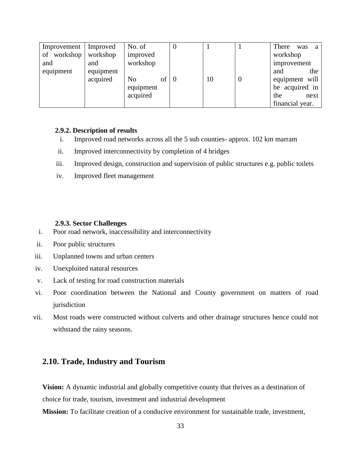| Improvement                     | Improved                     | No. of                                  |    | O |    |        | There<br>was                                                       | a |
|---------------------------------|------------------------------|-----------------------------------------|----|---|----|--------|--------------------------------------------------------------------|---|
| of workshop<br>and<br>equipment | workshop<br>and<br>equipment | improved<br>workshop                    |    |   |    |        | workshop<br>improvement<br>the<br>and                              |   |
|                                 | acquired                     | N <sub>0</sub><br>equipment<br>acquired | ot |   | 10 | $\cup$ | equipment will<br>be acquired in<br>the<br>next<br>financial year. |   |

#### <span id="page-41-0"></span>**2.9.2. Description of results**

- i. Improved road networks across all the 5 sub counties- approx. 102 km marram
- ii. Improved interconnectivity by completion of 4 bridges
- iii. Improved design, construction and supervision of public structures e.g. public toilets
- iv. Improved fleet management

#### **2.9.3. Sector Challenges**

- <span id="page-41-1"></span>i. Poor road network, inaccessibility and interconnectivity
- ii. Poor public structures
- iii. Unplanned towns and urban centers
- iv. Unexploited natural resources
- v. Lack of testing for road construction materials
- vi. Poor coordination between the National and County government on matters of road jurisdiction
- vii. Most roads were constructed without culverts and other drainage structures hence could not withstand the rainy seasons.

## <span id="page-41-2"></span>**2.10. Trade, Industry and Tourism**

**Vision:** A dynamic industrial and globally competitive county that thrives as a destination of choice for trade, tourism, investment and industrial development

**Mission:** To facilitate creation of a conducive environment for sustainable trade, investment,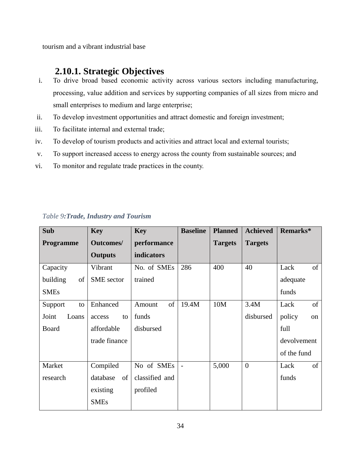tourism and a vibrant industrial base

## **2.10.1. Strategic Objectives**

- <span id="page-42-0"></span>i. To drive broad based economic activity across various sectors including manufacturing, processing, value addition and services by supporting companies of all sizes from micro and small enterprises to medium and large enterprise;
- ii. To develop investment opportunities and attract domestic and foreign investment;
- iii. To facilitate internal and external trade;
- iv. To develop of tourism products and activities and attract local and external tourists;
- v. To support increased access to energy across the county from sustainable sources; and
- vi. To monitor and regulate trade practices in the county.

| Sub              | <b>Key</b>        | <b>Key</b>     | <b>Baseline</b> | <b>Planned</b> | <b>Achieved</b> | Remarks*     |
|------------------|-------------------|----------------|-----------------|----------------|-----------------|--------------|
| <b>Programme</b> | <b>Outcomes/</b>  | performance    |                 | <b>Targets</b> | <b>Targets</b>  |              |
|                  | <b>Outputs</b>    | indicators     |                 |                |                 |              |
| Capacity         | Vibrant           | No. of SMEs    | 286             | 400            | 40              | of<br>Lack   |
| of<br>building   | <b>SME</b> sector | trained        |                 |                |                 | adequate     |
| <b>SMEs</b>      |                   |                |                 |                |                 | funds        |
| Support<br>to    | Enhanced          | of<br>Amount   | 19.4M           | 10M            | 3.4M            | of<br>Lack   |
| Joint<br>Loans   | to<br>access      | funds          |                 |                | disbursed       | policy<br>on |
| <b>Board</b>     | affordable        | disbursed      |                 |                |                 | full         |
|                  | trade finance     |                |                 |                |                 | devolvement  |
|                  |                   |                |                 |                |                 | of the fund  |
| Market           | Compiled          | No of SMEs     |                 | 5,000          | $\overline{0}$  | of<br>Lack   |
| research         | database<br>of    | classified and |                 |                |                 | funds        |
|                  | existing          | profiled       |                 |                |                 |              |
|                  | <b>SMEs</b>       |                |                 |                |                 |              |

### <span id="page-42-1"></span>*Table 9:Trade, Industry and Tourism*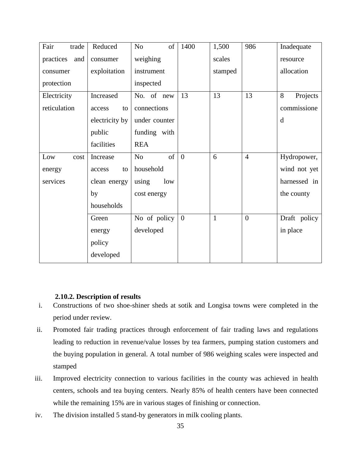| Fair<br>trade    | Reduced        | of<br>N <sub>0</sub> | 1400           | 1,500        | 986            | Inadequate    |
|------------------|----------------|----------------------|----------------|--------------|----------------|---------------|
| practices<br>and | consumer       | weighing             |                | scales       |                | resource      |
| consumer         | exploitation   | instrument           |                | stamped      |                | allocation    |
| protection       |                | inspected            |                |              |                |               |
| Electricity      | Increased      | No. of new           | 13             | 13           | 13             | 8<br>Projects |
| reticulation     | to<br>access   | connections          |                |              |                | commissione   |
|                  | electricity by | under counter        |                |              |                | d             |
|                  | public         | funding with         |                |              |                |               |
|                  | facilities     | <b>REA</b>           |                |              |                |               |
| Low<br>cost      | Increase       | of<br>N <sub>o</sub> | $\overline{0}$ | 6            | $\overline{4}$ | Hydropower,   |
| energy           | access<br>to   | household            |                |              |                | wind not yet  |
| services         | clean energy   | using<br>low         |                |              |                | harnessed in  |
|                  | by             | cost energy          |                |              |                | the county    |
|                  | households     |                      |                |              |                |               |
|                  | Green          | No of policy         | $\overline{0}$ | $\mathbf{1}$ | $\overline{0}$ | Draft policy  |
|                  | energy         | developed            |                |              |                | in place      |
|                  | policy         |                      |                |              |                |               |
|                  | developed      |                      |                |              |                |               |

#### **2.10.2. Description of results**

- <span id="page-43-0"></span>i. Constructions of two shoe-shiner sheds at sotik and Longisa towns were completed in the period under review.
- ii. Promoted fair trading practices through enforcement of fair trading laws and regulations leading to reduction in revenue/value losses by tea farmers, pumping station customers and the buying population in general. A total number of 986 weighing scales were inspected and stamped
- iii. Improved electricity connection to various facilities in the county was achieved in health centers, schools and tea buying centers. Nearly 85% of health centers have been connected while the remaining 15% are in various stages of finishing or connection.
- iv. The division installed 5 stand-by generators in milk cooling plants.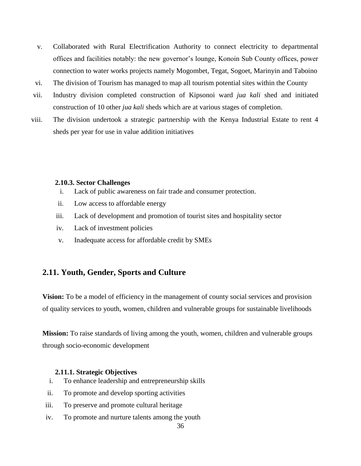- v. Collaborated with Rural Electrification Authority to connect electricity to departmental offices and facilities notably: the new governor's lounge, Konoin Sub County offices, power connection to water works projects namely Mogombet, Tegat, Sogoet, Marinyin and Taboino
- vi. The division of Tourism has managed to map all tourism potential sites within the County
- vii. Industry division completed construction of Kipsonoi ward *jua kali* shed and initiated construction of 10 other *jua kali* sheds which are at various stages of completion.
- viii. The division undertook a strategic partnership with the Kenya Industrial Estate to rent 4 sheds per year for use in value addition initiatives

#### <span id="page-44-0"></span>**2.10.3. Sector Challenges**

- i. Lack of public awareness on fair trade and consumer protection.
- ii. Low access to affordable energy
- iii. Lack of development and promotion of tourist sites and hospitality sector
- iv. Lack of investment policies
- v. Inadequate access for affordable credit by SMEs

#### <span id="page-44-1"></span>**2.11. Youth, Gender, Sports and Culture**

**Vision:** To be a model of efficiency in the management of county social services and provision of quality services to youth, women, children and vulnerable groups for sustainable livelihoods

**Mission:** To raise standards of living among the youth, women, children and vulnerable groups through socio-economic development

#### <span id="page-44-2"></span>**2.11.1. Strategic Objectives**

- i. To enhance leadership and entrepreneurship skills
- ii. To promote and develop sporting activities
- iii. To preserve and promote cultural heritage
- iv. To promote and nurture talents among the youth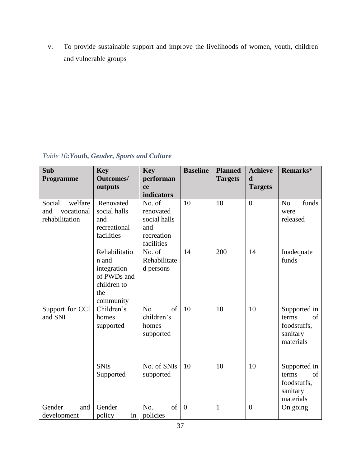v. To provide sustainable support and improve the livelihoods of women, youth, children and vulnerable groups

<span id="page-45-0"></span>*Table 10:Youth, Gender, Sports and Culture*

| Sub<br>Programme                                         | <b>Key</b><br><b>Outcomes/</b><br>outputs                                               | <b>Key</b><br>performan<br>ce                                          | <b>Baseline</b> | <b>Planned</b><br><b>Targets</b> | <b>Achieve</b><br>d<br><b>Targets</b> | Remarks*                                                            |
|----------------------------------------------------------|-----------------------------------------------------------------------------------------|------------------------------------------------------------------------|-----------------|----------------------------------|---------------------------------------|---------------------------------------------------------------------|
|                                                          |                                                                                         | indicators                                                             |                 |                                  |                                       |                                                                     |
| Social<br>welfare<br>vocational<br>and<br>rehabilitation | Renovated<br>social halls<br>and<br>recreational<br>facilities                          | No. of<br>renovated<br>social halls<br>and<br>recreation<br>facilities | 10              | 10                               | $\overline{0}$                        | funds<br>N <sub>o</sub><br>were<br>released                         |
|                                                          | Rehabilitatio<br>n and<br>integration<br>of PWDs and<br>children to<br>the<br>community | No. of<br>Rehabilitate<br>d persons                                    | 14              | 200                              | 14                                    | Inadequate<br>funds                                                 |
| Support for CCI<br>and SNI                               | Children's<br>homes<br>supported                                                        | of<br>No<br>children's<br>homes<br>supported                           | 10              | 10                               | 10                                    | Supported in<br>terms<br>of<br>foodstuffs,<br>sanitary<br>materials |
|                                                          | <b>SNIs</b><br>Supported                                                                | No. of SNIs<br>supported                                               | 10              | 10                               | 10                                    | Supported in<br>of<br>terms<br>foodstuffs,<br>sanitary<br>materials |
| Gender<br>and<br>development                             | Gender<br>policy<br>in                                                                  | No.<br>of<br>policies                                                  | $\theta$        | $\mathbf{1}$                     | $\overline{0}$                        | On going                                                            |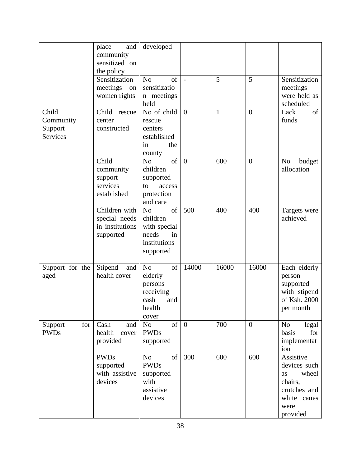| Child                            | place<br>and<br>community<br>sensitized on<br>the policy<br>Sensitization<br>meetings<br>on<br>women rights<br>Child<br>rescue | developed<br>of<br>N <sub>o</sub><br>sensitizatio<br>n meetings<br>held<br>No of child       | $\overline{a}$<br>$\overline{0}$ | 5<br>$\mathbf{1}$ | 5<br>$\overline{0}$ | Sensitization<br>meetings<br>were held as<br>scheduled<br>of<br>Lack                                   |
|----------------------------------|--------------------------------------------------------------------------------------------------------------------------------|----------------------------------------------------------------------------------------------|----------------------------------|-------------------|---------------------|--------------------------------------------------------------------------------------------------------|
| Community<br>Support<br>Services | center<br>constructed                                                                                                          | rescue<br>centers<br>established<br>the<br>in<br>county                                      |                                  |                   |                     | funds                                                                                                  |
|                                  | Child<br>community<br>support<br>services<br>established                                                                       | of<br>N <sub>o</sub><br>children<br>supported<br>access<br>to<br>protection<br>and care      | $\overline{0}$                   | 600               | $\overline{0}$      | No<br>budget<br>allocation                                                                             |
|                                  | Children with<br>special needs<br>in institutions<br>supported                                                                 | of<br>N <sub>o</sub><br>children<br>with special<br>needs<br>in<br>institutions<br>supported | 500                              | 400               | 400                 | Targets were<br>achieved                                                                               |
| Support for the<br>aged          | Stipend<br>and<br>health cover                                                                                                 | of<br>N <sub>o</sub><br>elderly<br>persons<br>receiving<br>cash<br>and<br>health<br>cover    | 14000                            | 16000             | 16000               | Each elderly<br>person<br>supported<br>with stipend<br>of Ksh. 2000<br>per month                       |
| for<br>Support<br><b>PWDs</b>    | Cash<br>and<br>health<br>cover<br>provided                                                                                     | of<br>N <sub>o</sub><br><b>PWDs</b><br>supported                                             | $\overline{0}$                   | 700               | $\overline{0}$      | N <sub>o</sub><br>legal<br>basis<br>for<br>implementat<br>ion                                          |
|                                  | <b>PWDs</b><br>supported<br>with assistive<br>devices                                                                          | N <sub>o</sub><br>of<br><b>PWDs</b><br>supported<br>with<br>assistive<br>devices             | 300                              | 600               | 600                 | Assistive<br>devices such<br>wheel<br>as<br>chairs,<br>crutches and<br>white canes<br>were<br>provided |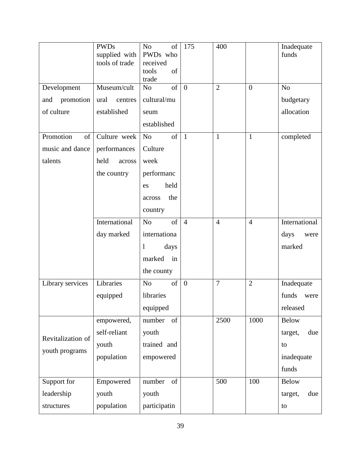| Development       | <b>PWDs</b><br>supplied with<br>tools of trade<br>Museum/cult | N <sub>o</sub><br>of<br>PWDs who<br>received<br>of<br>tools<br>trade<br>of<br>N <sub>o</sub> | 175<br>$\overline{0}$ | 400<br>$\overline{2}$ | $\boldsymbol{0}$ | Inadequate<br>funds<br>N <sub>o</sub> |
|-------------------|---------------------------------------------------------------|----------------------------------------------------------------------------------------------|-----------------------|-----------------------|------------------|---------------------------------------|
| promotion<br>and  | ural<br>centres                                               | cultural/mu                                                                                  |                       |                       |                  | budgetary                             |
| of culture        | established                                                   | seum                                                                                         |                       |                       |                  | allocation                            |
|                   |                                                               | established                                                                                  |                       |                       |                  |                                       |
| Promotion<br>of   | Culture week                                                  | of<br>N <sub>o</sub>                                                                         | $\mathbf{1}$          | $\mathbf{1}$          | $\mathbf{1}$     | completed                             |
| music and dance   | performances                                                  | Culture                                                                                      |                       |                       |                  |                                       |
| talents           | held<br>across                                                | week                                                                                         |                       |                       |                  |                                       |
|                   | the country                                                   | performanc                                                                                   |                       |                       |                  |                                       |
|                   |                                                               | held<br>es                                                                                   |                       |                       |                  |                                       |
|                   |                                                               | the<br>across                                                                                |                       |                       |                  |                                       |
|                   |                                                               | country                                                                                      |                       |                       |                  |                                       |
|                   | International                                                 | of<br>N <sub>o</sub>                                                                         | $\overline{4}$        | $\overline{4}$        | $\overline{4}$   | International                         |
|                   | day marked                                                    | internationa                                                                                 |                       |                       |                  | days<br>were                          |
|                   |                                                               | $\mathbf{1}$<br>days                                                                         |                       |                       |                  | marked                                |
|                   |                                                               | marked<br>in                                                                                 |                       |                       |                  |                                       |
|                   |                                                               | the county                                                                                   |                       |                       |                  |                                       |
| Library services  | Libraries                                                     | of<br>N <sub>o</sub>                                                                         | $\overline{0}$        | $\overline{7}$        | $\overline{2}$   | Inadequate                            |
|                   | equipped                                                      | libraries                                                                                    |                       |                       |                  | funds<br>were                         |
|                   |                                                               | equipped                                                                                     |                       |                       |                  | released                              |
|                   | empowered,                                                    | number<br>of                                                                                 |                       | 2500                  | 1000             | <b>Below</b>                          |
| Revitalization of | self-reliant                                                  | youth                                                                                        |                       |                       |                  | due<br>target,                        |
| youth programs    | youth                                                         | trained and                                                                                  |                       |                       |                  | to                                    |
|                   | population                                                    | empowered                                                                                    |                       |                       |                  | inadequate                            |
|                   |                                                               |                                                                                              |                       |                       |                  | funds                                 |
| Support for       | Empowered                                                     | of<br>number                                                                                 |                       | 500                   | 100              | <b>Below</b>                          |
| leadership        | youth                                                         | youth                                                                                        |                       |                       |                  | target,<br>due                        |
| structures        | population                                                    | participatin                                                                                 |                       |                       |                  | to                                    |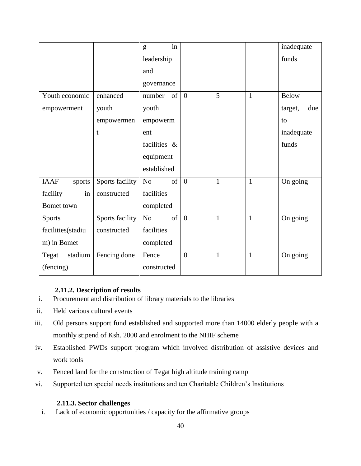|                       |                 | in<br>g              |                |              |              | inadequate     |
|-----------------------|-----------------|----------------------|----------------|--------------|--------------|----------------|
|                       |                 | leadership           |                |              |              | funds          |
|                       |                 | and                  |                |              |              |                |
|                       |                 | governance           |                |              |              |                |
| Youth economic        | enhanced        | of<br>number         | $\overline{0}$ | 5            | $\mathbf{1}$ | <b>Below</b>   |
| empowerment           | youth           | youth                |                |              |              | due<br>target, |
|                       | empowermen      | empowerm             |                |              |              | to             |
|                       | t               | ent                  |                |              |              | inadequate     |
|                       |                 | facilities &         |                |              |              | funds          |
|                       |                 | equipment            |                |              |              |                |
|                       |                 | established          |                |              |              |                |
| <b>IAAF</b><br>sports | Sports facility | of<br>No             | $\overline{0}$ | $\mathbf{1}$ | $\mathbf{1}$ | On going       |
| facility<br>in        | constructed     | facilities           |                |              |              |                |
| Bomet town            |                 | completed            |                |              |              |                |
| <b>Sports</b>         | Sports facility | of<br>N <sub>o</sub> | $\overline{0}$ | $\mathbf{1}$ | $\mathbf{1}$ | On going       |
| facilities(stadiu     | constructed     | facilities           |                |              |              |                |
| m) in Bomet           |                 | completed            |                |              |              |                |
| stadium<br>Tegat      | Fencing done    | Fence                | $\theta$       | $\mathbf{1}$ | $\mathbf{1}$ | On going       |
| (fencing)             |                 | constructed          |                |              |              |                |

## **2.11.2. Description of results**

- <span id="page-48-0"></span>i. Procurement and distribution of library materials to the libraries
- ii. Held various cultural events
- iii. Old persons support fund established and supported more than 14000 elderly people with a monthly stipend of Ksh. 2000 and enrolment to the NHIF scheme
- iv. Established PWDs support program which involved distribution of assistive devices and work tools
- v. Fenced land for the construction of Tegat high altitude training camp
- vi. Supported ten special needs institutions and ten Charitable Children's Institutions

## <span id="page-48-1"></span>**2.11.3. Sector challenges**

i. Lack of economic opportunities / capacity for the affirmative groups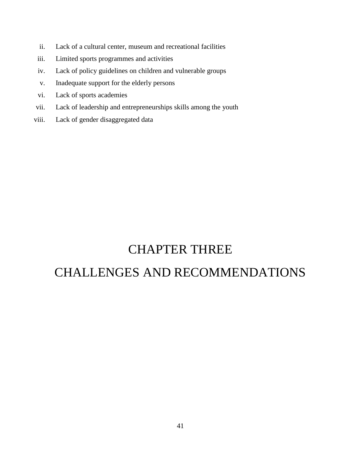- ii. Lack of a cultural center, museum and recreational facilities
- iii. Limited sports programmes and activities
- iv. Lack of policy guidelines on children and vulnerable groups
- v. Inadequate support for the elderly persons
- vi. Lack of sports academies
- vii. Lack of leadership and entrepreneurships skills among the youth
- viii. Lack of gender disaggregated data

## CHAPTER THREE

# <span id="page-49-1"></span><span id="page-49-0"></span>CHALLENGES AND RECOMMENDATIONS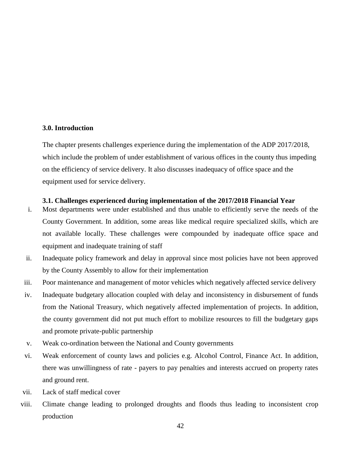#### <span id="page-50-0"></span>**3.0. Introduction**

The chapter presents challenges experience during the implementation of the ADP 2017/2018, which include the problem of under establishment of various offices in the county thus impeding on the efficiency of service delivery. It also discusses inadequacy of office space and the equipment used for service delivery.

#### <span id="page-50-1"></span>**3.1. Challenges experienced during implementation of the 2017/2018 Financial Year**

- i. Most departments were under established and thus unable to efficiently serve the needs of the County Government. In addition, some areas like medical require specialized skills, which are not available locally. These challenges were compounded by inadequate office space and equipment and inadequate training of staff
- ii. Inadequate policy framework and delay in approval since most policies have not been approved by the County Assembly to allow for their implementation
- iii. Poor maintenance and management of motor vehicles which negatively affected service delivery
- iv. Inadequate budgetary allocation coupled with delay and inconsistency in disbursement of funds from the National Treasury, which negatively affected implementation of projects. In addition, the county government did not put much effort to mobilize resources to fill the budgetary gaps and promote private-public partnership
- v. Weak co-ordination between the National and County governments
- vi. Weak enforcement of county laws and policies e.g. Alcohol Control, Finance Act. In addition, there was unwillingness of rate - payers to pay penalties and interests accrued on property rates and ground rent.
- vii. Lack of staff medical cover
- viii. Climate change leading to prolonged droughts and floods thus leading to inconsistent crop production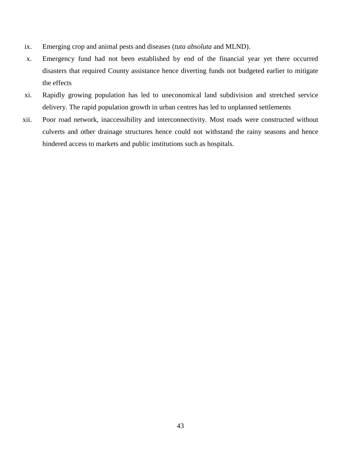- ix. Emerging crop and animal pests and diseases (*tuta absoluta* and MLND).
- x. Emergency fund had not been established by end of the financial year yet there occurred disasters that required County assistance hence diverting funds not budgeted earlier to mitigate the effects
- xi. Rapidly growing population has led to uneconomical land subdivision and stretched service delivery. The rapid population growth in urban centres has led to unplanned settlements
- xii. Poor road network, inaccessibility and interconnectivity. Most roads were constructed without culverts and other drainage structures hence could not withstand the rainy seasons and hence hindered access to markets and public institutions such as hospitals.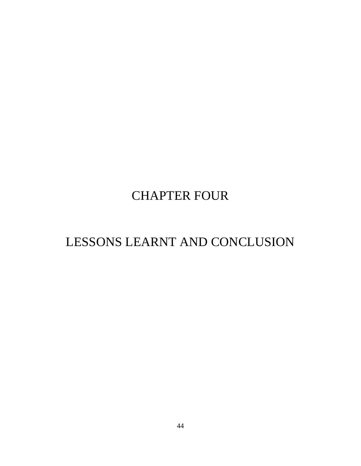# CHAPTER FOUR

# <span id="page-52-1"></span><span id="page-52-0"></span>LESSONS LEARNT AND CONCLUSION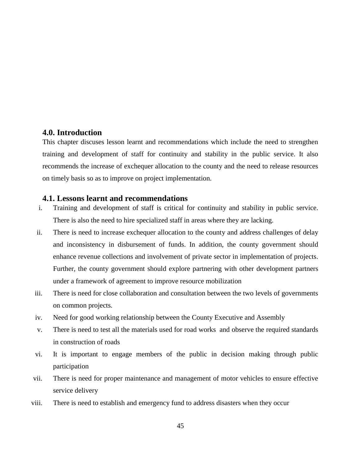#### <span id="page-53-0"></span>**4.0. Introduction**

This chapter discuses lesson learnt and recommendations which include the need to strengthen training and development of staff for continuity and stability in the public service. It also recommends the increase of exchequer allocation to the county and the need to release resources on timely basis so as to improve on project implementation.

#### <span id="page-53-1"></span>**4.1. Lessons learnt and recommendations**

- i. Training and development of staff is critical for continuity and stability in public service. There is also the need to hire specialized staff in areas where they are lacking.
- ii. There is need to increase exchequer allocation to the county and address challenges of delay and inconsistency in disbursement of funds. In addition, the county government should enhance revenue collections and involvement of private sector in implementation of projects. Further, the county government should explore partnering with other development partners under a framework of agreement to improve resource mobilization
- iii. There is need for close collaboration and consultation between the two levels of governments on common projects.
- iv. Need for good working relationship between the County Executive and Assembly
- v. There is need to test all the materials used for road works and observe the required standards in construction of roads
- vi. It is important to engage members of the public in decision making through public participation
- vii. There is need for proper maintenance and management of motor vehicles to ensure effective service delivery
- viii. There is need to establish and emergency fund to address disasters when they occur